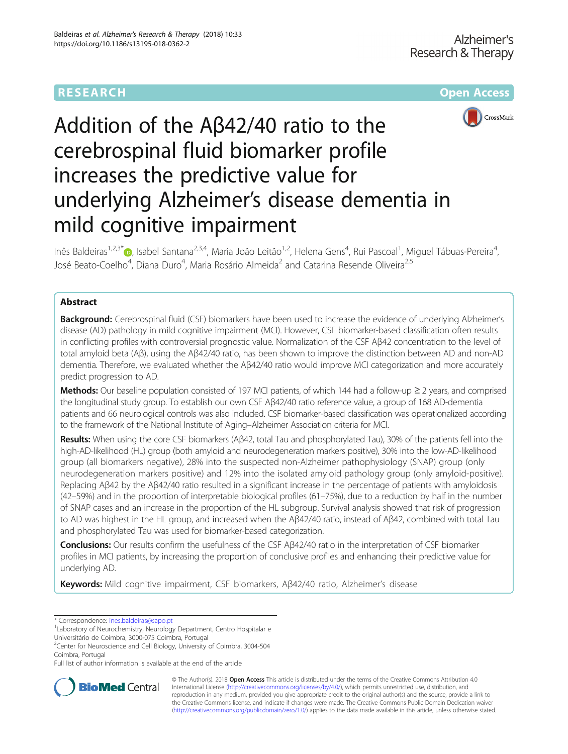### **RESEARCH CHEAR CHEAR CHEAR CHEAR CHEAR CHEAR CHEAR CHEAR CHEAR CHEAR CHEAR CHEAR CHEAR CHEAR CHEAR CHEAR CHEAR**



# Addition of the Aβ42/40 ratio to the cerebrospinal fluid biomarker profile increases the predictive value for underlying Alzheimer's disease dementia in mild cognitive impairment

Inês Baldeiras<sup>1[,](http://orcid.org/0000-0002-8106-7308)2,3\*</sup>®, Isabel Santana<sup>2,3,4</sup>, Maria João Leitão<sup>1,2</sup>, Helena Gens<sup>4</sup>, Rui Pascoal<sup>1</sup>, Miguel Tábuas-Pereira<sup>4</sup> , José Beato-Coelho<sup>4</sup>, Diana Duro<sup>4</sup>, Maria Rosário Almeida<sup>2</sup> and Catarina Resende Oliveira<sup>2,5</sup>

#### Abstract

Background: Cerebrospinal fluid (CSF) biomarkers have been used to increase the evidence of underlying Alzheimer's disease (AD) pathology in mild cognitive impairment (MCI). However, CSF biomarker-based classification often results in conflicting profiles with controversial prognostic value. Normalization of the CSF Aβ42 concentration to the level of total amyloid beta (Aβ), using the Aβ42/40 ratio, has been shown to improve the distinction between AD and non-AD dementia. Therefore, we evaluated whether the Aβ42/40 ratio would improve MCI categorization and more accurately predict progression to AD.

Methods: Our baseline population consisted of 197 MCI patients, of which 144 had a follow-up  $\geq 2$  years, and comprised the longitudinal study group. To establish our own CSF Aβ42/40 ratio reference value, a group of 168 AD-dementia patients and 66 neurological controls was also included. CSF biomarker-based classification was operationalized according to the framework of the National Institute of Aging–Alzheimer Association criteria for MCI.

Results: When using the core CSF biomarkers (Aβ42, total Tau and phosphorylated Tau), 30% of the patients fell into the high-AD-likelihood (HL) group (both amyloid and neurodegeneration markers positive), 30% into the low-AD-likelihood group (all biomarkers negative), 28% into the suspected non-Alzheimer pathophysiology (SNAP) group (only neurodegeneration markers positive) and 12% into the isolated amyloid pathology group (only amyloid-positive). Replacing Aβ42 by the Aβ42/40 ratio resulted in a significant increase in the percentage of patients with amyloidosis (42–59%) and in the proportion of interpretable biological profiles (61–75%), due to a reduction by half in the number of SNAP cases and an increase in the proportion of the HL subgroup. Survival analysis showed that risk of progression to AD was highest in the HL group, and increased when the Aβ42/40 ratio, instead of Aβ42, combined with total Tau and phosphorylated Tau was used for biomarker-based categorization.

Conclusions: Our results confirm the usefulness of the CSF AB42/40 ratio in the interpretation of CSF biomarker profiles in MCI patients, by increasing the proportion of conclusive profiles and enhancing their predictive value for underlying AD.

Keywords: Mild cognitive impairment, CSF biomarkers, Aβ42/40 ratio, Alzheimer's disease

Universitário de Coimbra, 3000-075 Coimbra, Portugal

Full list of author information is available at the end of the article



© The Author(s). 2018 Open Access This article is distributed under the terms of the Creative Commons Attribution 4.0 International License [\(http://creativecommons.org/licenses/by/4.0/](http://creativecommons.org/licenses/by/4.0/)), which permits unrestricted use, distribution, and reproduction in any medium, provided you give appropriate credit to the original author(s) and the source, provide a link to the Creative Commons license, and indicate if changes were made. The Creative Commons Public Domain Dedication waiver [\(http://creativecommons.org/publicdomain/zero/1.0/](http://creativecommons.org/publicdomain/zero/1.0/)) applies to the data made available in this article, unless otherwise stated.

<sup>\*</sup> Correspondence: [ines.baldeiras@sapo.pt](mailto:ines.baldeiras@sapo.pt) <sup>1</sup>

<sup>&</sup>lt;sup>1</sup> Laboratory of Neurochemistry, Neurology Department, Centro Hospitalar e

<sup>&</sup>lt;sup>2</sup> Center for Neuroscience and Cell Biology, University of Coimbra, 3004-504 Coimbra, Portugal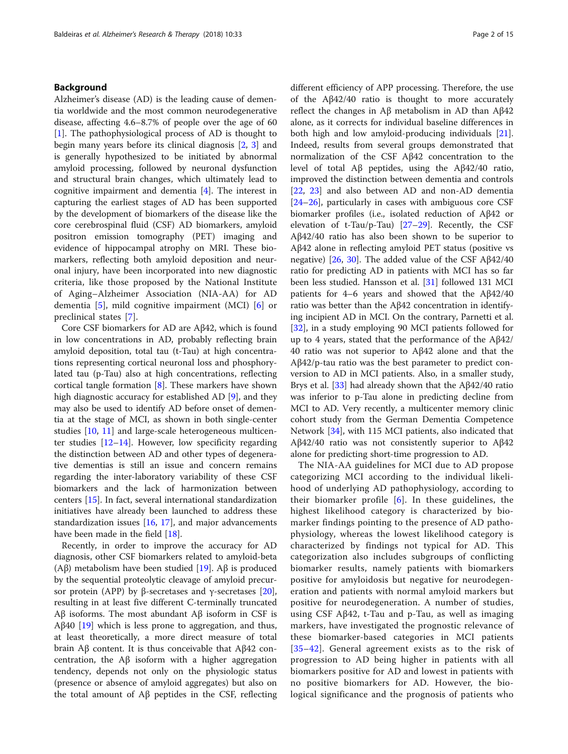#### Background

Alzheimer's disease (AD) is the leading cause of dementia worldwide and the most common neurodegenerative disease, affecting 4.6–8.7% of people over the age of 60 [[1\]](#page-11-0). The pathophysiological process of AD is thought to begin many years before its clinical diagnosis [[2,](#page-11-0) [3\]](#page-11-0) and is generally hypothesized to be initiated by abnormal amyloid processing, followed by neuronal dysfunction and structural brain changes, which ultimately lead to cognitive impairment and dementia [\[4](#page-11-0)]. The interest in capturing the earliest stages of AD has been supported by the development of biomarkers of the disease like the core cerebrospinal fluid (CSF) AD biomarkers, amyloid positron emission tomography (PET) imaging and evidence of hippocampal atrophy on MRI. These biomarkers, reflecting both amyloid deposition and neuronal injury, have been incorporated into new diagnostic criteria, like those proposed by the National Institute of Aging–Alzheimer Association (NIA-AA) for AD dementia [[5\]](#page-11-0), mild cognitive impairment (MCI) [\[6](#page-11-0)] or preclinical states [\[7](#page-11-0)].

Core CSF biomarkers for AD are Aβ42, which is found in low concentrations in AD, probably reflecting brain amyloid deposition, total tau (t-Tau) at high concentrations representing cortical neuronal loss and phosphorylated tau (p-Tau) also at high concentrations, reflecting cortical tangle formation [[8\]](#page-11-0). These markers have shown high diagnostic accuracy for established AD [\[9](#page-11-0)], and they may also be used to identify AD before onset of dementia at the stage of MCI, as shown in both single-center studies [[10](#page-11-0), [11\]](#page-11-0) and large-scale heterogeneous multicenter studies  $[12-14]$  $[12-14]$  $[12-14]$  $[12-14]$  $[12-14]$ . However, low specificity regarding the distinction between AD and other types of degenerative dementias is still an issue and concern remains regarding the inter-laboratory variability of these CSF biomarkers and the lack of harmonization between centers [\[15\]](#page-12-0). In fact, several international standardization initiatives have already been launched to address these standardization issues [\[16,](#page-12-0) [17](#page-12-0)], and major advancements have been made in the field [[18\]](#page-12-0).

Recently, in order to improve the accuracy for AD diagnosis, other CSF biomarkers related to amyloid-beta (Aβ) metabolism have been studied [[19\]](#page-12-0). Aβ is produced by the sequential proteolytic cleavage of amyloid precursor protein (APP) by β-secretases and γ-secretases [\[20](#page-12-0)], resulting in at least five different C-terminally truncated Aβ isoforms. The most abundant Aβ isoform in CSF is Aβ40 [[19](#page-12-0)] which is less prone to aggregation, and thus, at least theoretically, a more direct measure of total brain Aβ content. It is thus conceivable that Aβ42 concentration, the Aβ isoform with a higher aggregation tendency, depends not only on the physiologic status (presence or absence of amyloid aggregates) but also on the total amount of Aβ peptides in the CSF, reflecting

different efficiency of APP processing. Therefore, the use of the Aβ42/40 ratio is thought to more accurately reflect the changes in Aβ metabolism in AD than Aβ42 alone, as it corrects for individual baseline differences in both high and low amyloid-producing individuals [\[21](#page-12-0)]. Indeed, results from several groups demonstrated that normalization of the CSF Aβ42 concentration to the level of total Aβ peptides, using the Aβ42/40 ratio, improved the distinction between dementia and controls [[22,](#page-12-0) [23\]](#page-12-0) and also between AD and non-AD dementia [[24](#page-12-0)–[26](#page-12-0)], particularly in cases with ambiguous core CSF biomarker profiles (i.e., isolated reduction of Aβ42 or elevation of t-Tau/p-Tau) [[27](#page-12-0)–[29](#page-12-0)]. Recently, the CSF Aβ42/40 ratio has also been shown to be superior to Aβ42 alone in reflecting amyloid PET status (positive vs negative) [\[26](#page-12-0), [30\]](#page-12-0). The added value of the CSF Aβ42/40 ratio for predicting AD in patients with MCI has so far been less studied. Hansson et al. [[31](#page-12-0)] followed 131 MCI patients for 4–6 years and showed that the Aβ42/40 ratio was better than the Aβ42 concentration in identifying incipient AD in MCI. On the contrary, Parnetti et al. [[32\]](#page-12-0), in a study employing 90 MCI patients followed for up to 4 years, stated that the performance of the Aβ42/ 40 ratio was not superior to Aβ42 alone and that the Aβ42/p-tau ratio was the best parameter to predict conversion to AD in MCI patients. Also, in a smaller study, Brys et al. [\[33](#page-12-0)] had already shown that the Aβ42/40 ratio was inferior to p-Tau alone in predicting decline from MCI to AD. Very recently, a multicenter memory clinic cohort study from the German Dementia Competence Network [[34](#page-12-0)], with 115 MCI patients, also indicated that Aβ42/40 ratio was not consistently superior to Aβ42 alone for predicting short-time progression to AD.

The NIA-AA guidelines for MCI due to AD propose categorizing MCI according to the individual likelihood of underlying AD pathophysiology, according to their biomarker profile  $[6]$  $[6]$  $[6]$ . In these guidelines, the highest likelihood category is characterized by biomarker findings pointing to the presence of AD pathophysiology, whereas the lowest likelihood category is characterized by findings not typical for AD. This categorization also includes subgroups of conflicting biomarker results, namely patients with biomarkers positive for amyloidosis but negative for neurodegeneration and patients with normal amyloid markers but positive for neurodegeneration. A number of studies, using CSF Aβ42, t-Tau and p-Tau, as well as imaging markers, have investigated the prognostic relevance of these biomarker-based categories in MCI patients [[35](#page-12-0)–[42\]](#page-13-0). General agreement exists as to the risk of progression to AD being higher in patients with all biomarkers positive for AD and lowest in patients with no positive biomarkers for AD. However, the biological significance and the prognosis of patients who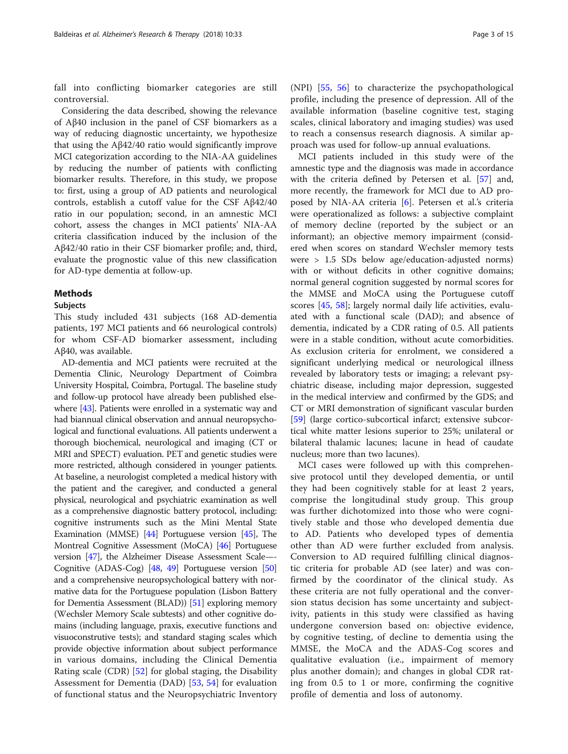fall into conflicting biomarker categories are still controversial.

Considering the data described, showing the relevance of Aβ40 inclusion in the panel of CSF biomarkers as a way of reducing diagnostic uncertainty, we hypothesize that using the Aβ42/40 ratio would significantly improve MCI categorization according to the NIA-AA guidelines by reducing the number of patients with conflicting biomarker results. Therefore, in this study, we propose to: first, using a group of AD patients and neurological controls, establish a cutoff value for the CSF Aβ42/40 ratio in our population; second, in an amnestic MCI cohort, assess the changes in MCI patients' NIA-AA criteria classification induced by the inclusion of the Aβ42/40 ratio in their CSF biomarker profile; and, third, evaluate the prognostic value of this new classification for AD-type dementia at follow-up.

#### Methods

#### Subjects

This study included 431 subjects (168 AD-dementia patients, 197 MCI patients and 66 neurological controls) for whom CSF-AD biomarker assessment, including Aβ40, was available.

AD-dementia and MCI patients were recruited at the Dementia Clinic, Neurology Department of Coimbra University Hospital, Coimbra, Portugal. The baseline study and follow-up protocol have already been published elsewhere [[43](#page-13-0)]. Patients were enrolled in a systematic way and had biannual clinical observation and annual neuropsychological and functional evaluations. All patients underwent a thorough biochemical, neurological and imaging (CT or MRI and SPECT) evaluation. PET and genetic studies were more restricted, although considered in younger patients. At baseline, a neurologist completed a medical history with the patient and the caregiver, and conducted a general physical, neurological and psychiatric examination as well as a comprehensive diagnostic battery protocol, including: cognitive instruments such as the Mini Mental State Examination (MMSE) [\[44\]](#page-13-0) Portuguese version [[45](#page-13-0)], The Montreal Cognitive Assessment (MoCA) [\[46](#page-13-0)] Portuguese version [\[47\]](#page-13-0), the Alzheimer Disease Assessment Scale—- Cognitive (ADAS-Cog) [[48](#page-13-0), [49\]](#page-13-0) Portuguese version [\[50](#page-13-0)] and a comprehensive neuropsychological battery with normative data for the Portuguese population (Lisbon Battery for Dementia Assessment (BLAD)) [[51](#page-13-0)] exploring memory (Wechsler Memory Scale subtests) and other cognitive domains (including language, praxis, executive functions and visuoconstrutive tests); and standard staging scales which provide objective information about subject performance in various domains, including the Clinical Dementia Rating scale (CDR) [[52](#page-13-0)] for global staging, the Disability Assessment for Dementia (DAD) [\[53](#page-13-0), [54](#page-13-0)] for evaluation of functional status and the Neuropsychiatric Inventory

(NPI) [\[55](#page-13-0), [56\]](#page-13-0) to characterize the psychopathological profile, including the presence of depression. All of the available information (baseline cognitive test, staging scales, clinical laboratory and imaging studies) was used to reach a consensus research diagnosis. A similar approach was used for follow-up annual evaluations.

MCI patients included in this study were of the amnestic type and the diagnosis was made in accordance with the criteria defined by Petersen et al. [[57\]](#page-13-0) and, more recently, the framework for MCI due to AD proposed by NIA-AA criteria [[6\]](#page-11-0). Petersen et al.'s criteria were operationalized as follows: a subjective complaint of memory decline (reported by the subject or an informant); an objective memory impairment (considered when scores on standard Wechsler memory tests were > 1.5 SDs below age/education-adjusted norms) with or without deficits in other cognitive domains; normal general cognition suggested by normal scores for the MMSE and MoCA using the Portuguese cutoff scores [[45](#page-13-0), [58\]](#page-13-0); largely normal daily life activities, evaluated with a functional scale (DAD); and absence of dementia, indicated by a CDR rating of 0.5. All patients were in a stable condition, without acute comorbidities. As exclusion criteria for enrolment, we considered a significant underlying medical or neurological illness revealed by laboratory tests or imaging; a relevant psychiatric disease, including major depression, suggested in the medical interview and confirmed by the GDS; and CT or MRI demonstration of significant vascular burden [[59\]](#page-13-0) (large cortico-subcortical infarct; extensive subcortical white matter lesions superior to 25%; unilateral or bilateral thalamic lacunes; lacune in head of caudate nucleus; more than two lacunes).

MCI cases were followed up with this comprehensive protocol until they developed dementia, or until they had been cognitively stable for at least 2 years, comprise the longitudinal study group. This group was further dichotomized into those who were cognitively stable and those who developed dementia due to AD. Patients who developed types of dementia other than AD were further excluded from analysis. Conversion to AD required fulfilling clinical diagnostic criteria for probable AD (see later) and was confirmed by the coordinator of the clinical study. As these criteria are not fully operational and the conversion status decision has some uncertainty and subjectivity, patients in this study were classified as having undergone conversion based on: objective evidence, by cognitive testing, of decline to dementia using the MMSE, the MoCA and the ADAS-Cog scores and qualitative evaluation (i.e., impairment of memory plus another domain); and changes in global CDR rating from 0.5 to 1 or more, confirming the cognitive profile of dementia and loss of autonomy.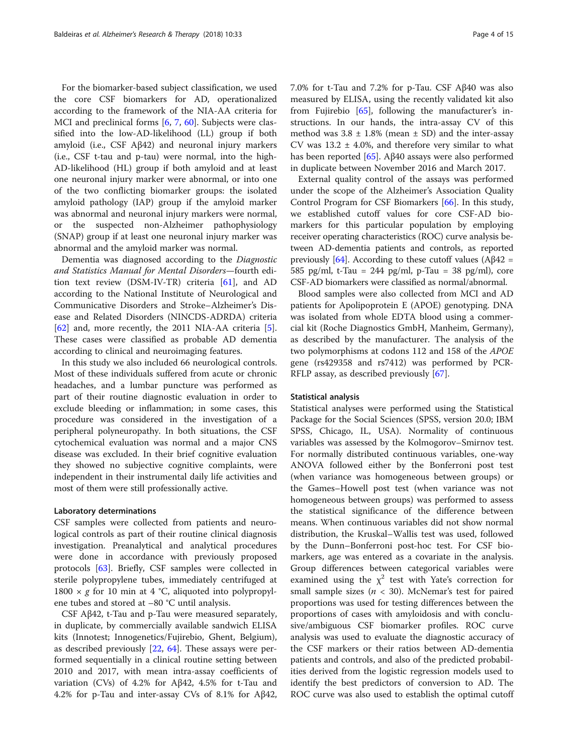For the biomarker-based subject classification, we used the core CSF biomarkers for AD, operationalized according to the framework of the NIA-AA criteria for MCI and preclinical forms [[6,](#page-11-0) [7](#page-11-0), [60](#page-13-0)]. Subjects were classified into the low-AD-likelihood (LL) group if both amyloid (i.e., CSF Aβ42) and neuronal injury markers (i.e., CSF t-tau and p-tau) were normal, into the high-AD-likelihood (HL) group if both amyloid and at least one neuronal injury marker were abnormal, or into one of the two conflicting biomarker groups: the isolated amyloid pathology (IAP) group if the amyloid marker was abnormal and neuronal injury markers were normal, or the suspected non-Alzheimer pathophysiology (SNAP) group if at least one neuronal injury marker was abnormal and the amyloid marker was normal.

Dementia was diagnosed according to the Diagnostic and Statistics Manual for Mental Disorders—fourth edition text review (DSM-IV-TR) criteria [\[61\]](#page-13-0), and AD according to the National Institute of Neurological and Communicative Disorders and Stroke–Alzheimer's Disease and Related Disorders (NINCDS-ADRDA) criteria [[62\]](#page-13-0) and, more recently, the 2011 NIA-AA criteria [\[5](#page-11-0)]. These cases were classified as probable AD dementia according to clinical and neuroimaging features.

In this study we also included 66 neurological controls. Most of these individuals suffered from acute or chronic headaches, and a lumbar puncture was performed as part of their routine diagnostic evaluation in order to exclude bleeding or inflammation; in some cases, this procedure was considered in the investigation of a peripheral polyneuropathy. In both situations, the CSF cytochemical evaluation was normal and a major CNS disease was excluded. In their brief cognitive evaluation they showed no subjective cognitive complaints, were independent in their instrumental daily life activities and most of them were still professionally active.

#### Laboratory determinations

CSF samples were collected from patients and neurological controls as part of their routine clinical diagnosis investigation. Preanalytical and analytical procedures were done in accordance with previously proposed protocols [\[63\]](#page-13-0). Briefly, CSF samples were collected in sterile polypropylene tubes, immediately centrifuged at 1800  $\times$  g for 10 min at 4 °C, aliquoted into polypropylene tubes and stored at –80 °C until analysis.

CSF Aβ42, t-Tau and p-Tau were measured separately, in duplicate, by commercially available sandwich ELISA kits (Innotest; Innogenetics/Fujirebio, Ghent, Belgium), as described previously [[22,](#page-12-0) [64](#page-13-0)]. These assays were performed sequentially in a clinical routine setting between 2010 and 2017, with mean intra-assay coefficients of variation (CVs) of 4.2% for Aβ42, 4.5% for t-Tau and 4.2% for p-Tau and inter-assay CVs of 8.1% for Aβ42, 7.0% for t-Tau and 7.2% for p-Tau. CSF Aβ40 was also measured by ELISA, using the recently validated kit also from Fujirebio [\[65](#page-13-0)], following the manufacturer's instructions. In our hands, the intra-assay CV of this method was  $3.8 \pm 1.8\%$  (mean  $\pm$  SD) and the inter-assay CV was  $13.2 \pm 4.0$ %, and therefore very similar to what has been reported [\[65](#page-13-0)]. Aβ40 assays were also performed in duplicate between November 2016 and March 2017.

External quality control of the assays was performed under the scope of the Alzheimer's Association Quality Control Program for CSF Biomarkers [\[66\]](#page-13-0). In this study, we established cutoff values for core CSF-AD biomarkers for this particular population by employing receiver operating characteristics (ROC) curve analysis between AD-dementia patients and controls, as reported previously [[64](#page-13-0)]. According to these cutoff values (Aβ42 = 585 pg/ml, t-Tau = 244 pg/ml, p-Tau = 38 pg/ml), core CSF-AD biomarkers were classified as normal/abnormal.

Blood samples were also collected from MCI and AD patients for Apolipoprotein E (APOE) genotyping. DNA was isolated from whole EDTA blood using a commercial kit (Roche Diagnostics GmbH, Manheim, Germany), as described by the manufacturer. The analysis of the two polymorphisms at codons 112 and 158 of the APOE gene (rs429358 and rs7412) was performed by PCR-RFLP assay, as described previously [\[67](#page-13-0)].

#### Statistical analysis

Statistical analyses were performed using the Statistical Package for the Social Sciences (SPSS, version 20.0; IBM SPSS, Chicago, IL, USA). Normality of continuous variables was assessed by the Kolmogorov–Smirnov test. For normally distributed continuous variables, one-way ANOVA followed either by the Bonferroni post test (when variance was homogeneous between groups) or the Games–Howell post test (when variance was not homogeneous between groups) was performed to assess the statistical significance of the difference between means. When continuous variables did not show normal distribution, the Kruskal–Wallis test was used, followed by the Dunn–Bonferroni post-hoc test. For CSF biomarkers, age was entered as a covariate in the analysis. Group differences between categorical variables were examined using the  $\chi^2$  test with Yate's correction for small sample sizes ( $n <$  30). McNemar's test for paired proportions was used for testing differences between the proportions of cases with amyloidosis and with conclusive/ambiguous CSF biomarker profiles. ROC curve analysis was used to evaluate the diagnostic accuracy of the CSF markers or their ratios between AD-dementia patients and controls, and also of the predicted probabilities derived from the logistic regression models used to identify the best predictors of conversion to AD. The ROC curve was also used to establish the optimal cutoff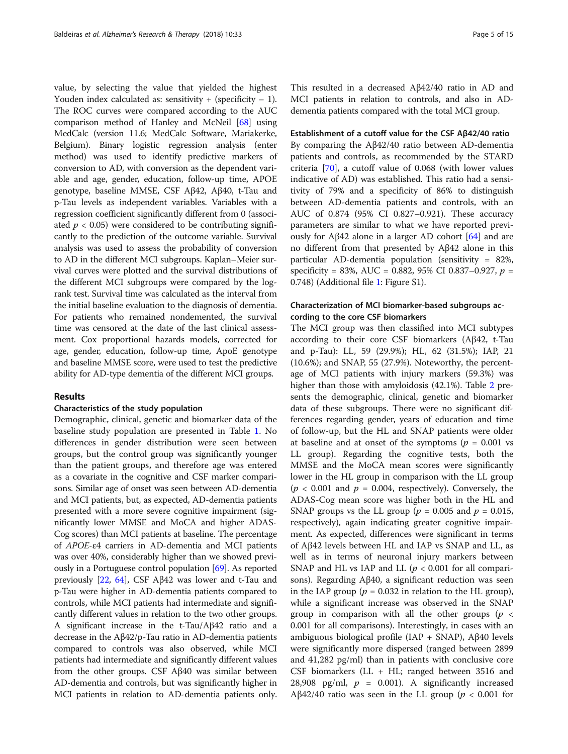value, by selecting the value that yielded the highest Youden index calculated as: sensitivity + (specificity  $-1$ ). The ROC curves were compared according to the AUC comparison method of Hanley and McNeil [\[68\]](#page-13-0) using MedCalc (version 11.6; MedCalc Software, Mariakerke, Belgium). Binary logistic regression analysis (enter method) was used to identify predictive markers of conversion to AD, with conversion as the dependent variable and age, gender, education, follow-up time, APOE genotype, baseline MMSE, CSF Aβ42, Aβ40, t-Tau and p-Tau levels as independent variables. Variables with a regression coefficient significantly different from 0 (associated  $p < 0.05$ ) were considered to be contributing significantly to the prediction of the outcome variable. Survival analysis was used to assess the probability of conversion to AD in the different MCI subgroups. Kaplan–Meier survival curves were plotted and the survival distributions of the different MCI subgroups were compared by the logrank test. Survival time was calculated as the interval from the initial baseline evaluation to the diagnosis of dementia. For patients who remained nondemented, the survival time was censored at the date of the last clinical assessment. Cox proportional hazards models, corrected for age, gender, education, follow-up time, ApoE genotype and baseline MMSE score, were used to test the predictive ability for AD-type dementia of the different MCI groups.

#### Results

#### Characteristics of the study population

Demographic, clinical, genetic and biomarker data of the baseline study population are presented in Table [1.](#page-5-0) No differences in gender distribution were seen between groups, but the control group was significantly younger than the patient groups, and therefore age was entered as a covariate in the cognitive and CSF marker comparisons. Similar age of onset was seen between AD-dementia and MCI patients, but, as expected, AD-dementia patients presented with a more severe cognitive impairment (significantly lower MMSE and MoCA and higher ADAS-Cog scores) than MCI patients at baseline. The percentage of APOE-ε4 carriers in AD-dementia and MCI patients was over 40%, considerably higher than we showed previously in a Portuguese control population [\[69](#page-13-0)]. As reported previously [[22](#page-12-0), [64](#page-13-0)], CSF Aβ42 was lower and t-Tau and p-Tau were higher in AD-dementia patients compared to controls, while MCI patients had intermediate and significantly different values in relation to the two other groups. A significant increase in the t-Tau/Aβ42 ratio and a decrease in the Aβ42/p-Tau ratio in AD-dementia patients compared to controls was also observed, while MCI patients had intermediate and significantly different values from the other groups. CSF Aβ40 was similar between AD-dementia and controls, but was significantly higher in MCI patients in relation to AD-dementia patients only.

This resulted in a decreased Aβ42/40 ratio in AD and MCI patients in relation to controls, and also in ADdementia patients compared with the total MCI group.

#### Establishment of a cutoff value for the CSF Aβ42/40 ratio

By comparing the Aβ42/40 ratio between AD-dementia patients and controls, as recommended by the STARD criteria [[70\]](#page-13-0), a cutoff value of 0.068 (with lower values indicative of AD) was established. This ratio had a sensitivity of 79% and a specificity of 86% to distinguish between AD-dementia patients and controls, with an AUC of 0.874 (95% CI 0.827–0.921). These accuracy parameters are similar to what we have reported previously for  $A\beta42$  alone in a larger AD cohort [\[64](#page-13-0)] and are no different from that presented by Aβ42 alone in this particular AD-dementia population (sensitivity = 82%, specificity = 83%, AUC = 0.882, 95% CI 0.837-0.927,  $p =$ 0.748) (Additional file [1](#page-10-0): Figure S1).

#### Characterization of MCI biomarker-based subgroups according to the core CSF biomarkers

The MCI group was then classified into MCI subtypes according to their core CSF biomarkers (Aβ42, t-Tau and p-Tau): LL, 59 (29.9%); HL, 62 (31.5%); IAP, 21 (10.6%); and SNAP, 55 (27.9%). Noteworthy, the percentage of MCI patients with injury markers (59.3%) was higher than those with amyloidosis (4[2](#page-6-0).1%). Table 2 presents the demographic, clinical, genetic and biomarker data of these subgroups. There were no significant differences regarding gender, years of education and time of follow-up, but the HL and SNAP patients were older at baseline and at onset of the symptoms ( $p = 0.001$  vs LL group). Regarding the cognitive tests, both the MMSE and the MoCA mean scores were significantly lower in the HL group in comparison with the LL group  $(p < 0.001$  and  $p = 0.004$ , respectively). Conversely, the ADAS-Cog mean score was higher both in the HL and SNAP groups vs the LL group ( $p = 0.005$  and  $p = 0.015$ , respectively), again indicating greater cognitive impairment. As expected, differences were significant in terms of Aβ42 levels between HL and IAP vs SNAP and LL, as well as in terms of neuronal injury markers between SNAP and HL vs IAP and LL ( $p < 0.001$  for all comparisons). Regarding Aβ40, a significant reduction was seen in the IAP group ( $p = 0.032$  in relation to the HL group), while a significant increase was observed in the SNAP group in comparison with all the other groups ( $p \lt$ 0.001 for all comparisons). Interestingly, in cases with an ambiguous biological profile (IAP + SNAP), Aβ40 levels were significantly more dispersed (ranged between 2899 and 41,282 pg/ml) than in patients with conclusive core CSF biomarkers (LL + HL; ranged between 3516 and 28,908 pg/ml,  $p = 0.001$ ). A significantly increased Aβ42/40 ratio was seen in the LL group ( $p < 0.001$  for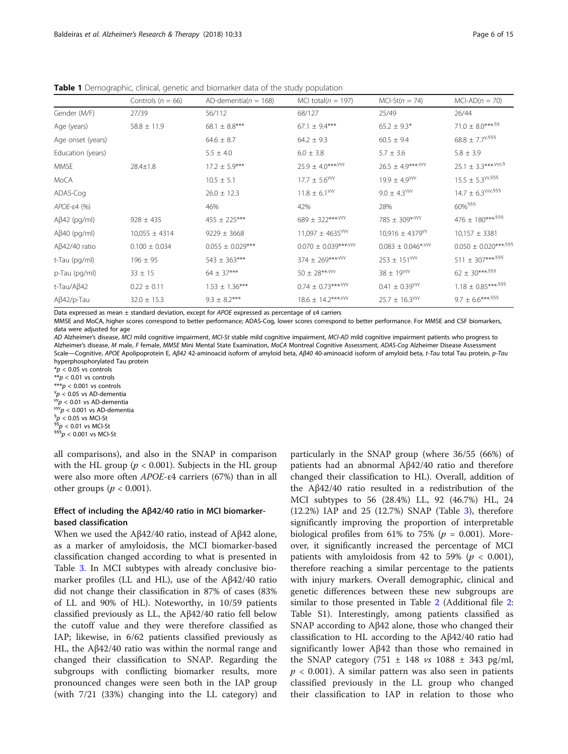<span id="page-5-0"></span>**Table 1** Demographic, clinical, genetic and biomarker data of the study population

|                      | Controls ( $n = 66$ ) | AD-dementia( $n = 168$ ) | MCI total( $n = 197$ )        | $MCI-St(n = 74)$               | $MCI-AD(n = 70)$                     |
|----------------------|-----------------------|--------------------------|-------------------------------|--------------------------------|--------------------------------------|
| Gender (M/F)         | 27/39                 | 56/112                   | 68/127                        | 25/49                          | 26/44                                |
| Age (years)          | $58.8 \pm 11.9$       | $68.1 \pm 8.8***$        | $67.1 \pm 9.4***$             | $65.2 \pm 9.3*$                | $71.0 \pm 8.0***$ <sup>55</sup>      |
| Age onset (years)    |                       | $64.6 \pm 8.7$           | $64.2 \pm 9.3$                | $60.5 \pm 9.4$                 | $68.8 \pm 7.7^{\gamma,555}$          |
| Education (years)    |                       | $5.5 \pm 4.0$            | $6.0 \pm 3.8$                 | $5.7 \pm 3.6$                  | $5.8 \pm 3.9$                        |
| <b>MMSE</b>          | $28.4 \pm 1.8$        | $17.2 \pm 5.9***$        | $25.9 \pm 4.0***$             | $26.5 \pm 4.9***$              | $25.1 \pm 3.3***$ YYYS               |
| MoCA                 |                       | $10.5 \pm 5.1$           | $17.7 \pm 5.6$ <sup>WY</sup>  | $19.9 \pm 4.9$ <sup>MY</sup>   | $15.5 \pm 5.3^{W,555}$               |
| ADAS-Cog             |                       | $26.0 \pm 12.3$          | $11.8 \pm 6.1^{\text{WW}}$    | $9.0 \pm 4.3^{\text{V}W}$      | $14.7 \pm 6.3^{\text{WW,555}}$       |
| $APOE-\epsilon4 (%)$ |                       | 46%                      | 42%                           | 28%                            | 60% \$99                             |
| $A\beta$ 42 (pg/ml)  | $928 \pm 435$         | $455 \pm 225***$         | $689 \pm 322***$              | 785 ± 309*/W                   | $476 \pm 180***$ <sup>555</sup>      |
| $A\beta40$ (pg/ml)   | $10,055 \pm 4314$     | $9229 \pm 3668$          | $11,097 \pm 4635^{\text{WW}}$ | $10,916 \pm 4379$ <sup>W</sup> | $10,157 \pm 3381$                    |
| $Aβ42/40$ ratio      | $0.100 \pm 0.034$     | $0.055 \pm 0.029***$     | $0.070 \pm 0.039***$          | $0.083 \pm 0.046$ */YY         | $0.050 \pm 0.020***$                 |
| t-Tau (pg/ml)        | $196 \pm 95$          | $543 \pm 363***$         | 374 ± 269*******              | $253 \pm 151^{\text{WW}}$      | $511 \pm 307***$ <sup>555</sup>      |
| p-Tau (pg/ml)        | $33 \pm 15$           | $64 \pm 37***$           | $50 \pm 28$ ** $^{WW}$        | $38 \pm 19^{\text{WW}}$        | $62 \pm 30***$ <sup>555</sup>        |
| t-Tau/Aβ42           | $0.22 \pm 0.11$       | $1.53 \pm 1.36***$       | $0.74 \pm 0.73$ *** $W$       | $0.41 \pm 0.39$ <sup>WY</sup>  | $1.18 \pm 0.85***$ , \$\$\$          |
| $A\beta42/p$ -Tau    | $32.0 \pm 15.3$       | $9.3 \pm 8.2$ ***        | $18.6 \pm 14.2$ ***/YY        | $25.7 \pm 16.3$ <sup>WY</sup>  | $9.7 \pm 6.6***$ <sup>\$\$\$\$</sup> |

Data expressed as mean ± standard deviation, except for APOE expressed as percentage of <sup>ε</sup>4 carriers

MMSE and MoCA, higher scores correspond to better performance; ADAS-Cog, lower scores correspond to better performance. For MMSE and CSF biomarkers, data were adjusted for age

AD Alzheimer's disease, MCI mild cognitive impairment, MCI-St stable mild cognitive impairment, MCI-AD mild cognitive impairment patients who progress to Alzheimer's disease. M male, F female, MMSE Mini Mental State Examination, MoCA Montreal Cognitive Assessment, ADAS-Cog Alzheimer Disease Assessment Scale—Cognitive, APOE Apolipoprotein Ε, Αβ42 42-aminoacid isoform of amyloid beta, Αβ40 40-aminoacid isoform of amyloid beta, t-Tau total Tau protein, p-Tau hyperphosphorylated Tau protein

 $*p < 0.05$  vs controls<br> $**p < 0.01$  vs controls  $**p < 0.01$  vs controls<br> $***p < 0.001$  vs contre \*\*\**p* < 0.001 vs controls<br><sup>γ</sup>n < 0.05 vs AD-dement <sup>γ</sup> $p$  < 0.05 vs AD-dementia<br><sup>γγ</sup> $p$  < 0.01 vs AD-dementia <sup>γγ</sup>ρ < 0.01 vs AD-dementia<br><sup>γγγ</sup>ρ < 0.001 vs AD-dement <sup>yw</sup>p < 0.001 vs AD-dementia<br><sup>§</sup>n < 0.05 vs MCLSt

 ${}^{6}_{66}$  < 0.05 vs MCI-St

<sup>99</sup>p < 0.01 vs MCI-St<br><sup>§§§</sup>n < 0.001 vs MCI-

 $p < 0.001$  vs MCI-St

all comparisons), and also in the SNAP in comparison with the HL group ( $p < 0.001$ ). Subjects in the HL group were also more often APOE-ε4 carriers (67%) than in all other groups ( $p < 0.001$ ).

#### Effect of including the Aβ42/40 ratio in MCI biomarkerbased classification

When we used the Aβ42/40 ratio, instead of Aβ42 alone, as a marker of amyloidosis, the MCI biomarker-based classification changed according to what is presented in Table [3](#page-6-0). In MCI subtypes with already conclusive biomarker profiles (LL and HL), use of the  $A\beta42/40$  ratio did not change their classification in 87% of cases (83% of LL and 90% of HL). Noteworthy, in 10/59 patients classified previously as LL, the Aβ42/40 ratio fell below the cutoff value and they were therefore classified as IAP; likewise, in 6/62 patients classified previously as HL, the Aβ42/40 ratio was within the normal range and changed their classification to SNAP. Regarding the subgroups with conflicting biomarker results, more pronounced changes were seen both in the IAP group (with 7/21 (33%) changing into the LL category) and

particularly in the SNAP group (where 36/55 (66%) of patients had an abnormal Aβ42/40 ratio and therefore changed their classification to HL). Overall, addition of the Aβ42/40 ratio resulted in a redistribution of the MCI subtypes to 56 (28.4%) LL, 92 (46.7%) HL, 24 (12.2%) IAP and 25 (12.7%) SNAP (Table [3\)](#page-6-0), therefore significantly improving the proportion of interpretable biological profiles from 61% to 75% ( $p = 0.001$ ). Moreover, it significantly increased the percentage of MCI patients with amyloidosis from 42 to 59% ( $p < 0.001$ ), therefore reaching a similar percentage to the patients with injury markers. Overall demographic, clinical and genetic differences between these new subgroups are similar to those presented in Table [2](#page-6-0) (Additional file [2](#page-10-0): Table S1). Interestingly, among patients classified as SNAP according to Aβ42 alone, those who changed their classification to HL according to the Aβ42/40 ratio had significantly lower Aβ42 than those who remained in the SNAP category (751  $\pm$  148 *vs* 1088  $\pm$  343 pg/ml,  $p < 0.001$ ). A similar pattern was also seen in patients classified previously in the LL group who changed their classification to IAP in relation to those who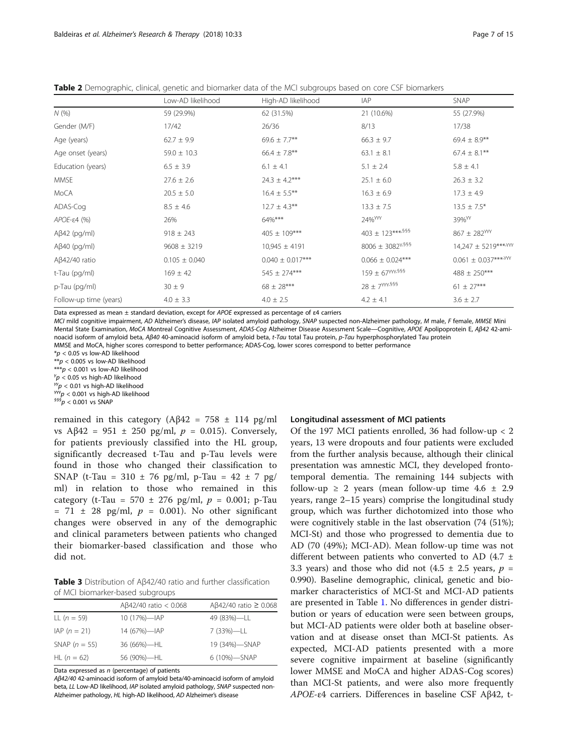<span id="page-6-0"></span>Table 2 Demographic, clinical, genetic and biomarker data of the MCI subgroups based on core CSF biomarkers

|                        | Low-AD likelihood | High-AD likelihood   | IAP                          | SNAP                      |
|------------------------|-------------------|----------------------|------------------------------|---------------------------|
| N(%                    | 59 (29.9%)        | 62 (31.5%)           | 21 (10.6%)                   | 55 (27.9%)                |
| Gender (M/F)           | 17/42             | 26/36                | 8/13                         | 17/38                     |
| Age (years)            | $62.7 \pm 9.9$    | $69.6 \pm 7.7**$     | $66.3 \pm 9.7$               | $69.4 \pm 8.9***$         |
| Age onset (years)      | $59.0 \pm 10.3$   | $66.4 \pm 7.8***$    | $63.1 \pm 8.1$               | $67.4 \pm 8.1***$         |
| Education (years)      | $6.5 \pm 3.9$     | $6.1 \pm 4.1$        | $5.1 \pm 2.4$                | $5.8 \pm 4.1$             |
| <b>MMSE</b>            | $27.6 \pm 2.6$    | $24.3 \pm 4.2***$    | $25.1 \pm 6.0$               | $26.3 \pm 3.2$            |
| MoCA                   | $20.5 \pm 5.0$    | $16.4 \pm 5.5***$    | $16.3 \pm 6.9$               | $17.3 \pm 4.9$            |
| ADAS-Cog               | $8.5 \pm 4.6$     | $12.7 \pm 4.3$ **    | $13.3 \pm 7.5$               | $13.5 \pm 7.5^*$          |
| $APOE-E4$ (%)          | 26%               | 64%***               | 24% <sup>YW</sup>            | 39% <sup>W</sup>          |
| $A\beta$ 42 (pg/ml)    | $918 \pm 243$     | 405 $\pm$ 109***     | 403 ± 123****555             | $867 \pm 282^{\text{WW}}$ |
| $A\beta40$ (pg/ml)     | $9608 \pm 3219$   | $10,945 \pm 4191$    | $8006 \pm 3082^{\gamma,555}$ | 14,247 ± 5219***/WY       |
| $A\beta42/40$ ratio    | $0.105 \pm 0.040$ | $0.040 \pm 0.017***$ | $0.066 \pm 0.024***$         | $0.061 \pm 0.037***$      |
| t-Tau (pg/ml)          | $169 \pm 42$      | $545 \pm 274***$     | $159 \pm 67^{WW,555}$        | 488 ± 250***              |
| p-Tau (pg/ml)          | $30 \pm 9$        | $68 \pm 28***$       | $28 \pm 7^{\text{YYY},555}$  | $61 \pm 27***$            |
| Follow-up time (years) | $4.0 \pm 3.3$     | $4.0 \pm 2.5$        | $4.2 \pm 4.1$                | $3.6 \pm 2.7$             |

Data expressed as mean ± standard deviation, except for APOE expressed as percentage of <sup>ε</sup>4 carriers

MCI mild cognitive impairment, AD Alzheimer's disease, IAP isolated amyloid pathology, SNAP suspected non-Alzheimer pathology, M male, F female, MMSE Mini Mental State Examination, MoCA Montreal Cognitive Assessment, ADAS-Cog Alzheimer Disease Assessment Scale—Cognitive, APOE Apolipoprotein E, Aβ42 42-aminoacid isoform of amyloid beta, Aβ40 40-aminoacid isoform of amyloid beta, t-Tau total Tau protein, p-Tau hyperphosphorylated Tau protein MMSE and MoCA, higher scores correspond to better performance; ADAS-Cog, lower scores correspond to better performance

 $*p$  < 0.05 vs low-AD likelihood<br> $**p$  < 0.005 vs low-AD likelihood

 $^{**}p < 0.005$  vs low-AD likelihood $^{***}$ n < 0.001 vs low-AD likelihoo

 $**p < 0.001$  vs low-AD likelihood<br>In  $\geq 0.05$  vs bigh-AD likelihood

 $v_p$  < 0.05 vs high-AD likelihood

 $Wp$  < 0.01 vs high-AD likelihood

 $W'p$  < 0.001 vs high-AD likelihood  $s^{sg}p$  < 0.001 vs SNAP

remained in this category (Aβ42 = 758  $\pm$  114 pg/ml vs Aβ42 = 951 ± 250 pg/ml,  $p = 0.015$ ). Conversely, for patients previously classified into the HL group, significantly decreased t-Tau and p-Tau levels were found in those who changed their classification to SNAP (t-Tau = 310  $\pm$  76 pg/ml, p-Tau = 42  $\pm$  7 pg/ ml) in relation to those who remained in this category (t-Tau = 570  $\pm$  276 pg/ml,  $p = 0.001$ ; p-Tau  $= 71 \pm 28$  pg/ml,  $p = 0.001$ ). No other significant changes were observed in any of the demographic and clinical parameters between patients who changed their biomarker-based classification and those who did not.

Table 3 Distribution of Aβ42/40 ratio and further classification of MCI biomarker-based subgroups

|                 | $A\beta$ 42/40 ratio < 0.068 | Aβ42/40 ratio $\geq$ 0.068 |
|-----------------|------------------------------|----------------------------|
| LL $(n = 59)$   | 10 (17%)—IAP                 | 49 (83%)-LL                |
| $IAP (n = 21)$  | 14 (67%)—IAP                 | 7 (33%)-LL                 |
| SNAP $(n = 55)$ | 36 (66%)—HL                  | 19 (34%)-SNAP              |
| $HL (n = 62)$   | 56 (90%)-HL                  | 6 (10%)-SNAP               |

Data expressed as  $n$  (percentage) of patients

Aβ42/40 42-aminoacid isoform of amyloid beta/40-aminoacid isoform of amyloid beta, LL Low-AD likelihood, IAP isolated amyloid pathology, SNAP suspected non-Alzheimer pathology, HL high-AD likelihood, AD Alzheimer's disease

#### Longitudinal assessment of MCI patients

Of the 197 MCI patients enrolled, 36 had follow-up < 2 years, 13 were dropouts and four patients were excluded from the further analysis because, although their clinical presentation was amnestic MCI, they developed frontotemporal dementia. The remaining 144 subjects with follow-up  $\geq$  2 years (mean follow-up time 4.6  $\pm$  2.9 years, range 2–15 years) comprise the longitudinal study group, which was further dichotomized into those who were cognitively stable in the last observation (74 (51%); MCI-St) and those who progressed to dementia due to AD (70 (49%); MCI-AD). Mean follow-up time was not different between patients who converted to AD (4.7  $\pm$ 3.3 years) and those who did not  $(4.5 \pm 2.5 \text{ years}, p =$ 0.990). Baseline demographic, clinical, genetic and biomarker characteristics of MCI-St and MCI-AD patients are presented in Table [1](#page-5-0). No differences in gender distribution or years of education were seen between groups, but MCI-AD patients were older both at baseline observation and at disease onset than MCI-St patients. As expected, MCI-AD patients presented with a more severe cognitive impairment at baseline (significantly lower MMSE and MoCA and higher ADAS-Cog scores) than MCI-St patients, and were also more frequently APOE-ε4 carriers. Differences in baseline CSF Aβ42, t-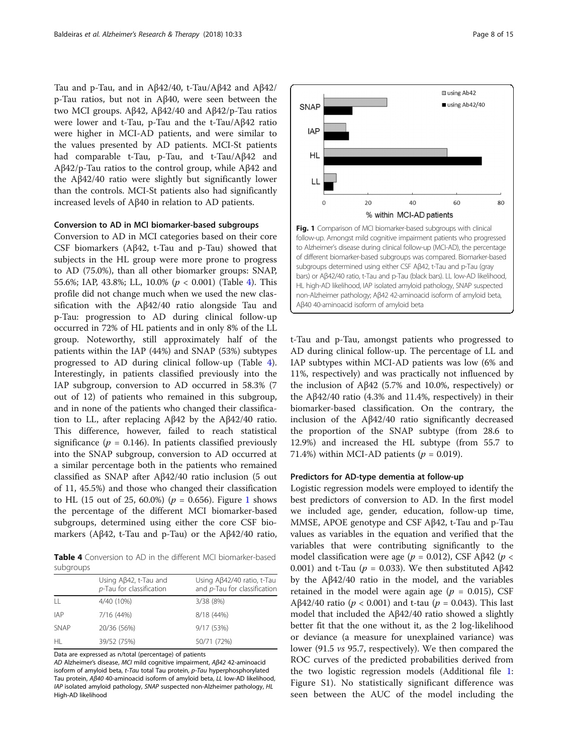<span id="page-7-0"></span>Tau and p-Tau, and in Aβ42/40, t-Tau/Aβ42 and Aβ42/ p-Tau ratios, but not in Aβ40, were seen between the two MCI groups. Aβ42, Aβ42/40 and Aβ42/p-Tau ratios were lower and t-Tau, p-Tau and the t-Tau/Aβ42 ratio were higher in MCI-AD patients, and were similar to the values presented by AD patients. MCI-St patients had comparable t-Tau, p-Tau, and t-Tau/Aβ42 and Aβ42/p-Tau ratios to the control group, while Aβ42 and the Aβ42/40 ratio were slightly but significantly lower than the controls. MCI-St patients also had significantly increased levels of Aβ40 in relation to AD patients.

#### Conversion to AD in MCI biomarker-based subgroups

Conversion to AD in MCI categories based on their core CSF biomarkers (Aβ42, t-Tau and p-Tau) showed that subjects in the HL group were more prone to progress to AD (75.0%), than all other biomarker groups: SNAP, 55.6%; IAP, 43.8%; LL, 10.0% ( $p < 0.001$ ) (Table 4). This profile did not change much when we used the new classification with the Aβ42/40 ratio alongside Tau and p-Tau: progression to AD during clinical follow-up occurred in 72% of HL patients and in only 8% of the LL group. Noteworthy, still approximately half of the patients within the IAP (44%) and SNAP (53%) subtypes progressed to AD during clinical follow-up (Table 4). Interestingly, in patients classified previously into the IAP subgroup, conversion to AD occurred in 58.3% (7 out of 12) of patients who remained in this subgroup, and in none of the patients who changed their classification to LL, after replacing Aβ42 by the Aβ42/40 ratio. This difference, however, failed to reach statistical significance ( $p = 0.146$ ). In patients classified previously into the SNAP subgroup, conversion to AD occurred at a similar percentage both in the patients who remained classified as SNAP after Aβ42/40 ratio inclusion (5 out of 11, 45.5%) and those who changed their classification to HL (15 out of 25, 60.0%) ( $p = 0.656$ ). Figure 1 shows the percentage of the different MCI biomarker-based subgroups, determined using either the core CSF biomarkers (Aβ42, t-Tau and p-Tau) or the Aβ42/40 ratio,

Table 4 Conversion to AD in the different MCI biomarker-based subgroups

|            | Using $A\beta$ 42, t-Tau and<br>$p$ -Tau for classification | Using $A\beta$ 42/40 ratio, t-Tau<br>and p-Tau for classification |
|------------|-------------------------------------------------------------|-------------------------------------------------------------------|
| $\perp$    | 4/40 (10%)                                                  | 3/38 (8%)                                                         |
| <b>IAP</b> | 7/16 (44%)                                                  | 8/18 (44%)                                                        |
| SNAP       | 20/36 (56%)                                                 | 9/17 (53%)                                                        |
| HL         | 39/52 (75%)                                                 | 50/71 (72%)                                                       |

Data are expressed as n/total (percentage) of patients

AD Alzheimer's disease, MCI mild cognitive impairment, Aβ42 42-aminoacid isoform of amyloid beta, t-Tau total Tau protein, p-Tau hyperphosphorylated Tau protein, Aβ40 40-aminoacid isoform of amyloid beta, LL low-AD likelihood, IAP isolated amyloid pathology, SNAP suspected non-Alzheimer pathology, HL High-AD likelihood



t-Tau and p-Tau, amongst patients who progressed to AD during clinical follow-up. The percentage of LL and IAP subtypes within MCI-AD patients was low (6% and 11%, respectively) and was practically not influenced by the inclusion of Aβ42 (5.7% and 10.0%, respectively) or the Aβ42/40 ratio (4.3% and 11.4%, respectively) in their biomarker-based classification. On the contrary, the inclusion of the Aβ42/40 ratio significantly decreased the proportion of the SNAP subtype (from 28.6 to 12.9%) and increased the HL subtype (from 55.7 to 71.4%) within MCI-AD patients ( $p = 0.019$ ).

#### Predictors for AD-type dementia at follow-up

Logistic regression models were employed to identify the best predictors of conversion to AD. In the first model we included age, gender, education, follow-up time, MMSE, APOE genotype and CSF Aβ42, t-Tau and p-Tau values as variables in the equation and verified that the variables that were contributing significantly to the model classification were age ( $p = 0.012$ ), CSF Aβ42 ( $p <$ 0.001) and t-Tau ( $p = 0.033$ ). We then substituted Aβ42 by the Aβ42/40 ratio in the model, and the variables retained in the model were again age ( $p = 0.015$ ), CSF Aβ42/40 ratio (*p* < 0.001) and t-tau (*p* = 0.043). This last model that included the  $Aβ42/40$  ratio showed a slightly better fit that the one without it, as the 2 log-likelihood or deviance (a measure for unexplained variance) was lower (91.5 vs 95.7, respectively). We then compared the ROC curves of the predicted probabilities derived from the two logistic regression models (Additional file [1](#page-10-0): Figure S1). No statistically significant difference was seen between the AUC of the model including the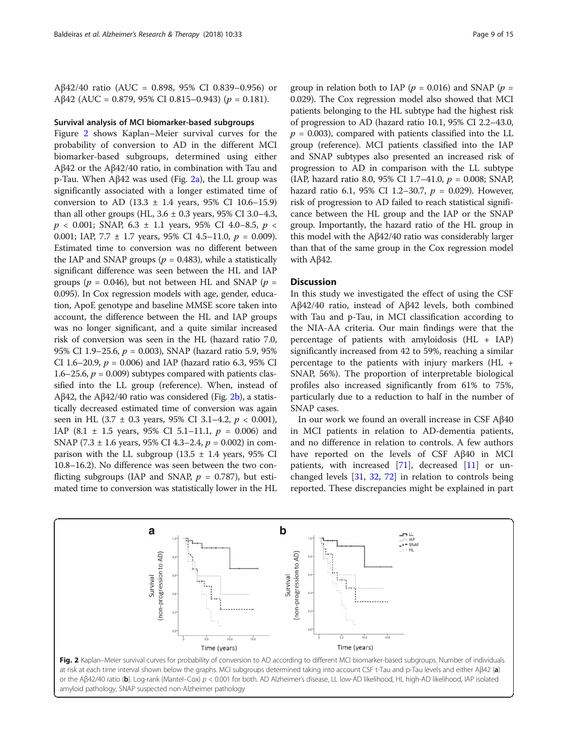Aβ42/40 ratio (AUC = 0.898, 95% CI 0.839–0.956) or Aβ42 (AUC = 0.879, 95% CI 0.815–0.943) ( $p = 0.181$ ).

#### Survival analysis of MCI biomarker-based subgroups

Figure 2 shows Kaplan–Meier survival curves for the probability of conversion to AD in the different MCI biomarker-based subgroups, determined using either Aβ42 or the Aβ42/40 ratio, in combination with Tau and p-Tau. When Aβ42 was used (Fig. 2a), the LL group was significantly associated with a longer estimated time of conversion to AD (13.3  $\pm$  1.4 years, 95% CI 10.6–15.9) than all other groups (HL,  $3.6 \pm 0.3$  years, 95% CI 3.0–4.3,  $p$  < 0.001; SNAP, 6.3  $\pm$  1.1 years, 95% CI 4.0–8.5,  $p$  < 0.001; IAP, 7.7  $\pm$  1.7 years, 95% CI 4.5–11.0,  $p = 0.009$ ). Estimated time to conversion was no different between the IAP and SNAP groups ( $p = 0.483$ ), while a statistically significant difference was seen between the HL and IAP groups ( $p = 0.046$ ), but not between HL and SNAP ( $p =$ 0.095). In Cox regression models with age, gender, education, ApoE genotype and baseline MMSE score taken into account, the difference between the HL and IAP groups was no longer significant, and a quite similar increased risk of conversion was seen in the HL (hazard ratio 7.0, 95% CI 1.9–25.6, p = 0.003), SNAP (hazard ratio 5.9, 95% CI 1.6–20.9,  $p = 0.006$ ) and IAP (hazard ratio 6.3, 95% CI 1.6–25.6,  $p = 0.009$ ) subtypes compared with patients classified into the LL group (reference). When, instead of Aβ42, the Aβ42/40 ratio was considered (Fig. 2b), a statistically decreased estimated time of conversion was again seen in HL (3.7  $\pm$  0.3 years, 95% CI 3.1–4.2,  $p < 0.001$ ), IAP  $(8.1 \pm 1.5 \text{ years}, 95\% \text{ CI } 5.1-11.1, p = 0.006)$  and SNAP (7.3  $\pm$  1.6 years, 95% CI 4.3–2.4,  $p = 0.002$ ) in comparison with the LL subgroup  $(13.5 \pm 1.4)$  years, 95% CI 10.8–16.2). No difference was seen between the two conflicting subgroups (IAP and SNAP,  $p = 0.787$ ), but estimated time to conversion was statistically lower in the HL group in relation both to IAP ( $p = 0.016$ ) and SNAP ( $p =$ 0.029). The Cox regression model also showed that MCI patients belonging to the HL subtype had the highest risk of progression to AD (hazard ratio 10.1, 95% CI 2.2–43.0,  $p = 0.003$ ), compared with patients classified into the LL group (reference). MCI patients classified into the IAP and SNAP subtypes also presented an increased risk of progression to AD in comparison with the LL subtype (IAP, hazard ratio 8.0, 95% CI 1.7-41.0,  $p = 0.008$ ; SNAP, hazard ratio 6.1, 95% CI 1.2-30.7,  $p = 0.029$ ). However, risk of progression to AD failed to reach statistical significance between the HL group and the IAP or the SNAP group. Importantly, the hazard ratio of the HL group in this model with the Aβ42/40 ratio was considerably larger than that of the same group in the Cox regression model with Aβ42.

#### **Discussion**

In this study we investigated the effect of using the CSF Aβ42/40 ratio, instead of Aβ42 levels, both combined with Tau and p-Tau, in MCI classification according to the NIA-AA criteria. Our main findings were that the percentage of patients with amyloidosis (HL + IAP) significantly increased from 42 to 59%, reaching a similar percentage to the patients with injury markers (HL + SNAP, 56%). The proportion of interpretable biological profiles also increased significantly from 61% to 75%, particularly due to a reduction to half in the number of SNAP cases.

In our work we found an overall increase in CSF Aβ40 in MCI patients in relation to AD-dementia patients, and no difference in relation to controls. A few authors have reported on the levels of CSF Aβ40 in MCI patients, with increased [\[71\]](#page-13-0), decreased [\[11](#page-11-0)] or unchanged levels [[31,](#page-12-0) [32](#page-12-0), [72](#page-13-0)] in relation to controls being reported. These discrepancies might be explained in part



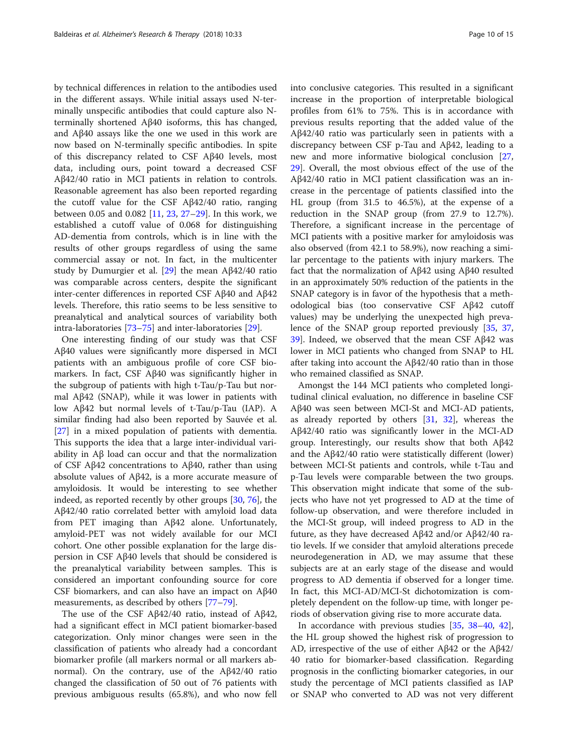by technical differences in relation to the antibodies used in the different assays. While initial assays used N-terminally unspecific antibodies that could capture also Nterminally shortened Aβ40 isoforms, this has changed, and Aβ40 assays like the one we used in this work are now based on N-terminally specific antibodies. In spite of this discrepancy related to CSF Aβ40 levels, most data, including ours, point toward a decreased CSF Aβ42/40 ratio in MCI patients in relation to controls. Reasonable agreement has also been reported regarding the cutoff value for the CSF Aβ42/40 ratio, ranging between 0.05 and 0.082 [[11](#page-11-0), [23](#page-12-0), [27](#page-12-0)–[29](#page-12-0)]. In this work, we established a cutoff value of 0.068 for distinguishing AD-dementia from controls, which is in line with the results of other groups regardless of using the same commercial assay or not. In fact, in the multicenter study by Dumurgier et al.  $[29]$  $[29]$  the mean A $\beta$ 42/40 ratio was comparable across centers, despite the significant inter-center differences in reported CSF Aβ40 and Aβ42 levels. Therefore, this ratio seems to be less sensitive to preanalytical and analytical sources of variability both intra-laboratories [[73](#page-13-0)–[75](#page-13-0)] and inter-laboratories [[29\]](#page-12-0).

One interesting finding of our study was that CSF Aβ40 values were significantly more dispersed in MCI patients with an ambiguous profile of core CSF biomarkers. In fact, CSF Aβ40 was significantly higher in the subgroup of patients with high t-Tau/p-Tau but normal Aβ42 (SNAP), while it was lower in patients with low Aβ42 but normal levels of t-Tau/p-Tau (IAP). A similar finding had also been reported by Sauvée et al. [[27\]](#page-12-0) in a mixed population of patients with dementia. This supports the idea that a large inter-individual variability in Aβ load can occur and that the normalization of CSF Aβ42 concentrations to Aβ40, rather than using absolute values of Aβ42, is a more accurate measure of amyloidosis. It would be interesting to see whether indeed, as reported recently by other groups [[30](#page-12-0), [76](#page-13-0)], the Aβ42/40 ratio correlated better with amyloid load data from PET imaging than Aβ42 alone. Unfortunately, amyloid-PET was not widely available for our MCI cohort. One other possible explanation for the large dispersion in CSF Aβ40 levels that should be considered is the preanalytical variability between samples. This is considered an important confounding source for core CSF biomarkers, and can also have an impact on Aβ40 measurements, as described by others [\[77](#page-13-0)–[79\]](#page-14-0).

The use of the CSF  $A\beta$ 42/40 ratio, instead of  $A\beta$ 42, had a significant effect in MCI patient biomarker-based categorization. Only minor changes were seen in the classification of patients who already had a concordant biomarker profile (all markers normal or all markers abnormal). On the contrary, use of the Aβ42/40 ratio changed the classification of 50 out of 76 patients with previous ambiguous results (65.8%), and who now fell into conclusive categories. This resulted in a significant increase in the proportion of interpretable biological profiles from 61% to 75%. This is in accordance with previous results reporting that the added value of the Aβ42/40 ratio was particularly seen in patients with a discrepancy between CSF p-Tau and Aβ42, leading to a new and more informative biological conclusion [[27](#page-12-0), [29\]](#page-12-0). Overall, the most obvious effect of the use of the Aβ42/40 ratio in MCI patient classification was an increase in the percentage of patients classified into the HL group (from 31.5 to 46.5%), at the expense of a reduction in the SNAP group (from 27.9 to 12.7%). Therefore, a significant increase in the percentage of MCI patients with a positive marker for amyloidosis was also observed (from 42.1 to 58.9%), now reaching a similar percentage to the patients with injury markers. The fact that the normalization of Aβ42 using Aβ40 resulted in an approximately 50% reduction of the patients in the SNAP category is in favor of the hypothesis that a methodological bias (too conservative CSF Aβ42 cutoff values) may be underlying the unexpected high prevalence of the SNAP group reported previously [[35,](#page-12-0) [37](#page-12-0), [39\]](#page-12-0). Indeed, we observed that the mean CSF Aβ42 was lower in MCI patients who changed from SNAP to HL after taking into account the Aβ42/40 ratio than in those who remained classified as SNAP.

Amongst the 144 MCI patients who completed longitudinal clinical evaluation, no difference in baseline CSF Aβ40 was seen between MCI-St and MCI-AD patients, as already reported by others  $[31, 32]$  $[31, 32]$  $[31, 32]$  $[31, 32]$ , whereas the Aβ42/40 ratio was significantly lower in the MCI-AD group. Interestingly, our results show that both Aβ42 and the  $A\beta42/40$  ratio were statistically different (lower) between MCI-St patients and controls, while t-Tau and p-Tau levels were comparable between the two groups. This observation might indicate that some of the subjects who have not yet progressed to AD at the time of follow-up observation, and were therefore included in the MCI-St group, will indeed progress to AD in the future, as they have decreased Aβ42 and/or Aβ42/40 ratio levels. If we consider that amyloid alterations precede neurodegeneration in AD, we may assume that these subjects are at an early stage of the disease and would progress to AD dementia if observed for a longer time. In fact, this MCI-AD/MCI-St dichotomization is completely dependent on the follow-up time, with longer periods of observation giving rise to more accurate data.

In accordance with previous studies [\[35](#page-12-0), [38](#page-12-0)–[40,](#page-12-0) [42](#page-13-0)], the HL group showed the highest risk of progression to AD, irrespective of the use of either Aβ42 or the Aβ42/ 40 ratio for biomarker-based classification. Regarding prognosis in the conflicting biomarker categories, in our study the percentage of MCI patients classified as IAP or SNAP who converted to AD was not very different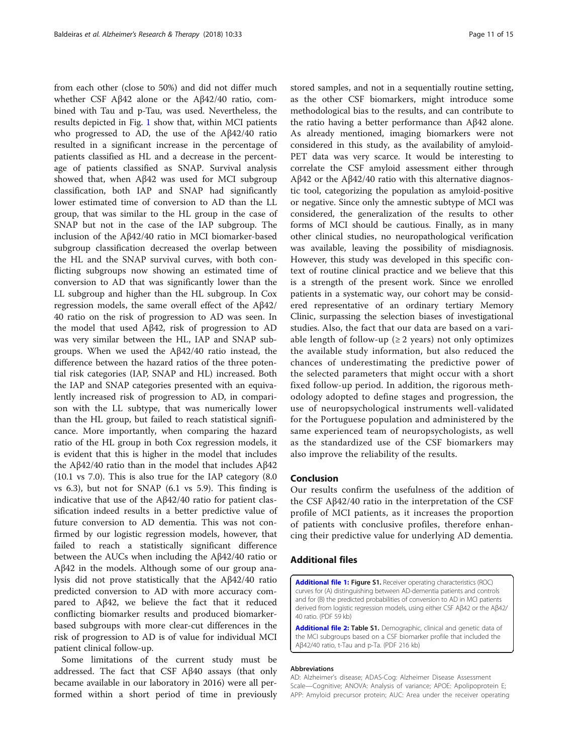<span id="page-10-0"></span>from each other (close to 50%) and did not differ much whether CSF Aβ42 alone or the Aβ42/40 ratio, combined with Tau and p-Tau, was used. Nevertheless, the results depicted in Fig. [1](#page-7-0) show that, within MCI patients who progressed to AD, the use of the Aβ42/40 ratio resulted in a significant increase in the percentage of patients classified as HL and a decrease in the percentage of patients classified as SNAP. Survival analysis showed that, when Aβ42 was used for MCI subgroup classification, both IAP and SNAP had significantly lower estimated time of conversion to AD than the LL group, that was similar to the HL group in the case of SNAP but not in the case of the IAP subgroup. The inclusion of the Aβ42/40 ratio in MCI biomarker-based subgroup classification decreased the overlap between the HL and the SNAP survival curves, with both conflicting subgroups now showing an estimated time of conversion to AD that was significantly lower than the LL subgroup and higher than the HL subgroup. In Cox regression models, the same overall effect of the Aβ42/ 40 ratio on the risk of progression to AD was seen. In the model that used Aβ42, risk of progression to AD was very similar between the HL, IAP and SNAP subgroups. When we used the Aβ42/40 ratio instead, the difference between the hazard ratios of the three potential risk categories (IAP, SNAP and HL) increased. Both the IAP and SNAP categories presented with an equivalently increased risk of progression to AD, in comparison with the LL subtype, that was numerically lower than the HL group, but failed to reach statistical significance. More importantly, when comparing the hazard ratio of the HL group in both Cox regression models, it is evident that this is higher in the model that includes the Aβ42/40 ratio than in the model that includes Aβ42 (10.1 vs 7.0). This is also true for the IAP category (8.0 vs 6.3), but not for SNAP (6.1 vs 5.9). This finding is indicative that use of the Aβ42/40 ratio for patient classification indeed results in a better predictive value of future conversion to AD dementia. This was not confirmed by our logistic regression models, however, that failed to reach a statistically significant difference between the AUCs when including the Aβ42/40 ratio or Aβ42 in the models. Although some of our group analysis did not prove statistically that the Aβ42/40 ratio predicted conversion to AD with more accuracy compared to Aβ42, we believe the fact that it reduced conflicting biomarker results and produced biomarkerbased subgroups with more clear-cut differences in the risk of progression to AD is of value for individual MCI patient clinical follow-up.

Some limitations of the current study must be addressed. The fact that CSF Aβ40 assays (that only became available in our laboratory in 2016) were all performed within a short period of time in previously stored samples, and not in a sequentially routine setting, as the other CSF biomarkers, might introduce some methodological bias to the results, and can contribute to the ratio having a better performance than Aβ42 alone. As already mentioned, imaging biomarkers were not considered in this study, as the availability of amyloid-PET data was very scarce. It would be interesting to correlate the CSF amyloid assessment either through Aβ42 or the Aβ42/40 ratio with this alternative diagnostic tool, categorizing the population as amyloid-positive or negative. Since only the amnestic subtype of MCI was considered, the generalization of the results to other forms of MCI should be cautious. Finally, as in many other clinical studies, no neuropathological verification was available, leaving the possibility of misdiagnosis. However, this study was developed in this specific context of routine clinical practice and we believe that this is a strength of the present work. Since we enrolled patients in a systematic way, our cohort may be considered representative of an ordinary tertiary Memory Clinic, surpassing the selection biases of investigational studies. Also, the fact that our data are based on a variable length of follow-up  $(≥ 2$  years) not only optimizes the available study information, but also reduced the chances of underestimating the predictive power of the selected parameters that might occur with a short fixed follow-up period. In addition, the rigorous methodology adopted to define stages and progression, the use of neuropsychological instruments well-validated for the Portuguese population and administered by the same experienced team of neuropsychologists, as well as the standardized use of the CSF biomarkers may also improve the reliability of the results.

#### Conclusion

Our results confirm the usefulness of the addition of the CSF Aβ42/40 ratio in the interpretation of the CSF profile of MCI patients, as it increases the proportion of patients with conclusive profiles, therefore enhancing their predictive value for underlying AD dementia.

#### Additional files

[Additional file 1:](https://doi.org/10.1186/s13195-018-0362-2) Figure S1. Receiver operating characteristics (ROC) curves for (A) distinguishing between AD-dementia patients and controls and for (B) the predicted probabilities of conversion to AD in MCI patients derived from logistic regression models, using either CSF Aβ42 or the Aβ42/ 40 ratio. (PDF 59 kb)

[Additional file 2:](https://doi.org/10.1186/s13195-018-0362-2) Table S1. Demographic, clinical and genetic data of the MCI subgroups based on a CSF biomarker profile that included the Aβ42/40 ratio, t-Tau and p-Ta. (PDF 216 kb)

#### Abbreviations

AD: Alzheimer's disease; ADAS-Cog: Alzheimer Disease Assessment Scale—Cognitive; ANOVA: Analysis of variance; APOE: Apolipoprotein E; APP: Amyloid precursor protein; AUC: Area under the receiver operating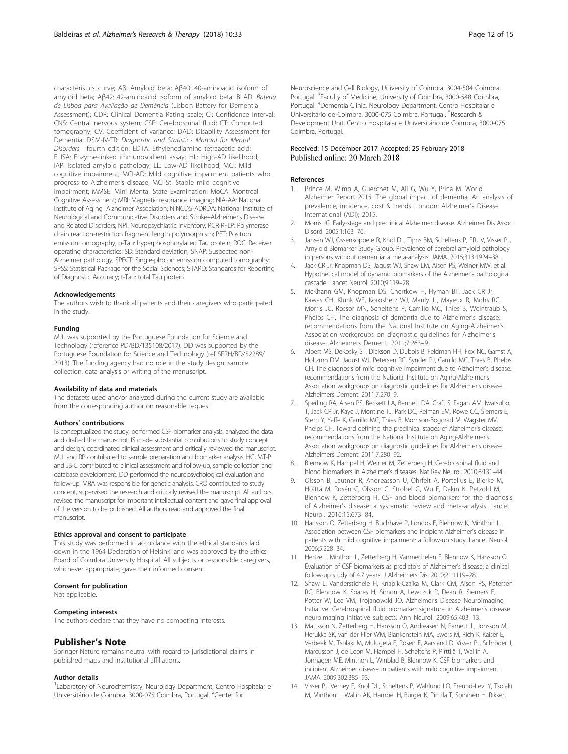<span id="page-11-0"></span>characteristics curve; Aβ: Amyloid beta; Aβ40: 40-aminoacid isoform of amyloid beta; Aβ42: 42-aminoacid isoform of amyloid beta; BLAD: Bateria de Lisboa para Avaliação de Demência (Lisbon Battery for Dementia Assessment); CDR: Clinical Dementia Rating scale; CI: Confidence interval; CNS: Central nervous system; CSF: Cerebrospinal fluid; CT: Computed tomography; CV: Coefficient of variance; DAD: Disability Assessment for Dementia; DSM-IV-TR: Diagnostic and Statistics Manual for Mental Disorders—fourth edition; EDTA: Ethylenediamine tetraacetic acid; ELISA: Enzyme-linked immunosorbent assay; HL: High-AD likelihood; IAP: Isolated amyloid pathology; LL: Low-AD likelihood; MCI: Mild cognitive impairment; MCI-AD: Mild cognitive impairment patients who progress to Alzheimer's disease; MCI-St: Stable mild cognitive impairment; MMSE: Mini Mental State Examination; MoCA: Montreal Cognitive Assessment; MRI: Magnetic resonance imaging; NIA-AA: National Institute of Aging–Alzheimer Association; NINCDS-ADRDA: National Institute of Neurological and Communicative Disorders and Stroke–Alzheimer's Disease and Related Disorders; NPI: Neuropsychiatric Inventory; PCR-RFLP: Polymerase chain reaction-restriction fragment length polymorphism; PET: Positron emission tomography; p-Tau: hyperphosphorylated Tau protein; ROC: Receiver operating characteristics; SD: Standard deviation; SNAP: Suspected non-Alzheimer pathology; SPECT: Single-photon emission computed tomography; SPSS: Statistical Package for the Social Sciences; STARD: Standards for Reporting of Diagnostic Accuracy; t-Tau: total Tau protein

#### Acknowledgements

The authors wish to thank all patients and their caregivers who participated in the study.

#### Funding

MJL was supported by the Portuguese Foundation for Science and Technology (reference PD/BD/135108/2017). DD was supported by the Portuguese Foundation for Science and Technology (ref SFRH/BD/52289/ 2013). The funding agency had no role in the study design, sample collection, data analysis or writing of the manuscript.

#### Availability of data and materials

The datasets used and/or analyzed during the current study are available from the corresponding author on reasonable request.

#### Authors' contributions

IB conceptualized the study, performed CSF biomarker analysis, analyzed the data and drafted the manuscript. IS made substantial contributions to study concept and design, coordinated clinical assessment and critically reviewed the manuscript. MJL and RP contributed to sample preparation and biomarker analysis. HG, MT-P and JB-C contributed to clinical assessment and follow-up, sample collection and database development. DD performed the neuropsychological evaluation and follow-up. MRA was responsible for genetic analysis. CRO contributed to study concept, supervised the research and critically revised the manuscript. All authors revised the manuscript for important intellectual content and gave final approval of the version to be published. All authors read and approved the final manuscript.

#### Ethics approval and consent to participate

This study was performed in accordance with the ethical standards laid down in the 1964 Declaration of Helsinki and was approved by the Ethics Board of Coimbra University Hospital. All subjects or responsible caregivers, whichever appropriate, gave their informed consent.

#### Consent for publication

Not applicable.

#### Competing interests

The authors declare that they have no competing interests.

#### Publisher's Note

Springer Nature remains neutral with regard to jurisdictional claims in published maps and institutional affiliations.

#### Author details

<sup>1</sup> Laboratory of Neurochemistry, Neurology Department, Centro Hospitalar e Universitário de Coimbra, 3000-075 Coimbra, Portugal. <sup>2</sup>Center for

Neuroscience and Cell Biology, University of Coimbra, 3004-504 Coimbra, Portugal. <sup>3</sup> Faculty of Medicine, University of Coimbra, 3000-548 Coimbra Portugal. <sup>4</sup>Dementia Clinic, Neurology Department, Centro Hospitalar e Universitário de Coimbra, 3000-075 Coimbra, Portugal. <sup>5</sup>Research & Development Unit, Centro Hospitalar e Universitário de Coimbra, 3000-075 Coimbra, Portugal.

## Received: 15 December 2017 Accepted: 25 February 2018<br>Published online: 20 March 2018

#### References

- 1. Prince M, Wimo A, Guerchet M, Ali G, Wu Y, Prina M. World Alzheimer Report 2015. The global impact of dementia. An analysis of prevalence, incidence, cost & trends. London: Alzheimer's Disease International (ADI); 2015.
- 2. Morris JC. Early-stage and preclinical Alzheimer disease. Alzheimer Dis Assoc Disord. 2005;1:163–76.
- 3. Jansen WJ, Ossenkoppele R, Knol DL, Tijms BM, Scheltens P, FRJ V, Visser PJ, Amyloid Biomarker Study Group. Prevalence of cerebral amyloid pathology in persons without dementia: a meta-analysis. JAMA. 2015;313:1924–38.
- Jack CR Jr, Knopman DS, Jagust WJ, Shaw LM, Aisen PS, Weiner MW, et al. Hypothetical model of dynamic biomarkers of the Alzheimer's pathological cascade. Lancet Neurol. 2010;9:119–28.
- 5. McKhann GM, Knopman DS, Chertkow H, Hyman BT, Jack CR Jr, Kawas CH, Klunk WE, Koroshetz WJ, Manly JJ, Mayeux R, Mohs RC, Morris JC, Rossor MN, Scheltens P, Carrillo MC, Thies B, Weintraub S, Phelps CH. The diagnosis of dementia due to Alzheimer's disease: recommendations from the National Institute on Aging-Alzheimer's Association workgroups on diagnostic guidelines for Alzheimer's disease. Alzheimers Dement. 2011;7:263–9.
- 6. Albert MS, DeKosky ST, Dickson D, Dubois B, Feldman HH, Fox NC, Gamst A, Holtzmn DM, Jaqust WJ, Petersen RC, Synder PJ, Carrillo MC, Thies B, Phelps CH. The diagnosis of mild cognitive impairment due to Alzheimer's disease: recommendations from the National Institute on Aging-Alzheimer's Association workgroups on diagnostic guidelines for Alzheimer's disease. Alzheimers Dement. 2011;7:270–9.
- 7. Sperling RA, Aisen PS, Beckett LA, Bennett DA, Craft S, Fagan AM, Iwatsubo T, Jack CR Jr, Kaye J, Montine TJ, Park DC, Reiman EM, Rowe CC, Siemers E, Stern Y, Yaffe K, Carrillo MC, Thies B, Morrison-Bogorad M, Wagster MV, Phelps CH. Toward defining the preclinical stages of Alzheimer's disease: recommendations from the National Institute on Aging-Alzheimer's Association workgroups on diagnostic guidelines for Alzheimer's disease. Alzheimers Dement. 2011;7:280–92.
- 8. Blennow K, Hampel H, Weiner M, Zetterberg H. Cerebrospinal fluid and blood biomarkers in Alzheimer's diseases. Nat Rev Neurol. 2010;6:131–44.
- 9. Olsson B, Lautner R, Andreasson U, Öhrfelt A, Portelius E, Bjerke M, Hölttä M, Rosén C, Olsson C, Strobel G, Wu E, Dakin K, Petzold M, Blennow K, Zetterberg H. CSF and blood biomarkers for the diagnosis of Alzheimer's disease: a systematic review and meta-analysis. Lancet Neurol. 2016;15:673–84.
- 10. Hansson O, Zetterberg H, Buchhave P, Londos E, Blennow K, Minthon L. Association between CSF biomarkers and incipient Alzheimer's disease in patients with mild cognitive impairment: a follow-up study. Lancet Neurol. 2006;5:228–34.
- 11. Hertze J, Minthon L, Zetterberg H, Vanmechelen E, Blennow K, Hansson O. Evaluation of CSF biomarkers as predictors of Alzheimer's disease: a clinical follow-up study of 4.7 years. J Alzheimers Dis. 2010;21:1119–28.
- 12. Shaw L, Vanderstichele H, Knapik-Czajka M, Clark CM, Aisen PS, Petersen RC, Blennow K, Soares H, Simon A, Lewczuk P, Dean R, Siemers E, Potter W, Lee VM, Trojanowski JQ. Alzheimer's Disease Neuroimaging Initiative. Cerebrospinal fluid biomarker signature in Alzheimer's disease neuroimaging initiative subjects. Ann Neurol. 2009;65:403–13.
- 13. Mattsson N, Zetterberg H, Hansson O, Andreasen N, Parnetti L, Jonsson M, Herukka SK, van der Flier WM, Blankenstein MA, Ewers M, Rich K, Kaiser E, Verbeek M, Tsolaki M, Mulugeta E, Rosén E, Aarsland D, Visser PJ, Schröder J, Marcusson J, de Leon M, Hampel H, Scheltens P, Pirttilä T, Wallin A, Jönhagen ME, Minthon L, Winblad B, Blennow K. CSF biomarkers and incipient Alzheimer disease in patients with mild cognitive impairment. JAMA. 2009;302:385–93.
- 14. Visser PJ, Verhey F, Knol DL, Scheltens P, Wahlund LO, Freund-Levi Y, Tsolaki M, Minthon L, Wallin AK, Hampel H, Bürger K, Pirttila T, Soininen H, Rikkert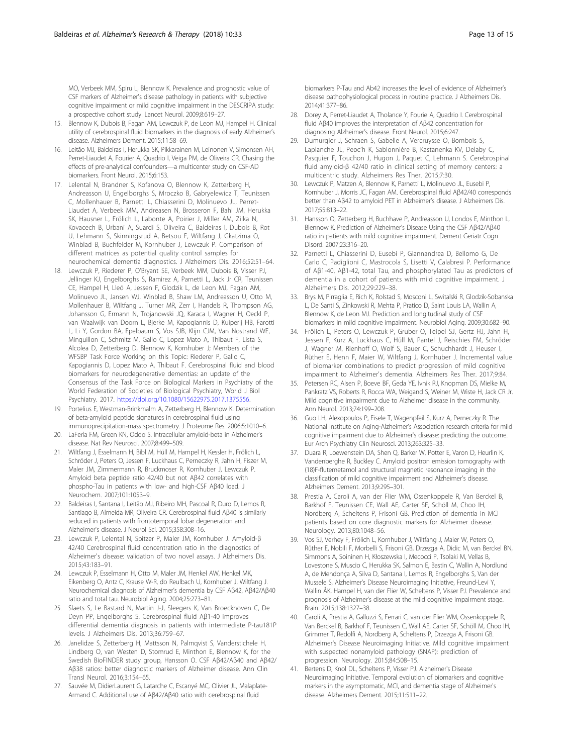<span id="page-12-0"></span>MO, Verbeek MM, Spiru L, Blennow K. Prevalence and prognostic value of CSF markers of Alzheimer's disease pathology in patients with subjective cognitive impairment or mild cognitive impairment in the DESCRIPA study: a prospective cohort study. Lancet Neurol. 2009;8:619–27.

- 15. Blennow K, Dubois B, Fagan AM, Lewczuk P, de Leon MJ, Hampel H. Clinical utility of cerebrospinal fluid biomarkers in the diagnosis of early Alzheimer's disease. Alzheimers Dement. 2015;11:58–69.
- 16. Leitão MJ, Baldeiras I, Herukka SK, Pikkarainen M, Leinonen V, Simonsen AH, Perret-Liaudet A, Fourier A, Quadrio I, Veiga PM, de Oliveira CR. Chasing the effects of pre-analytical confounders—a multicenter study on CSF-AD biomarkers. Front Neurol. 2015;6:153.
- 17. Lelental N, Brandner S, Kofanova O, Blennow K, Zetterberg H, Andreasson U, Engelborghs S, Mroczko B, Gabryelewicz T, Teunissen C, Mollenhauer B, Parnetti L, Chiasserini D, Molinuevo JL, Perret-Liaudet A, Verbeek MM, Andreasen N, Brosseron F, Bahl JM, Herukka SK, Hausner L, Frölich L, Labonte A, Poirier J, Miller AM, Zilka N, Kovacech B, Urbani A, Suardi S, Oliveira C, Baldeiras I, Dubois B, Rot U, Lehmann S, Skinningsrud A, Betsou F, Wiltfang J, Gkatzima O, Winblad B, Buchfelder M, Kornhuber J, Lewczuk P. Comparison of different matrices as potential quality control samples for neurochemical dementia diagnostics. J Alzheimers Dis. 2016;52:51–64.
- Lewczuk P, Riederer P, O'Bryant SE, Verbeek MM, Dubois B, Visser PJ, Jellinger KJ, Engelborghs S, Ramirez A, Parnetti L, Jack Jr CR, Teunissen CE, Hampel H, Lleó A, Jessen F, Glodzik L, de Leon MJ, Fagan AM, Molinuevo JL, Jansen WJ, Winblad B, Shaw LM, Andreasson U, Otto M, Mollenhauer B, Wiltfang J, Turner MR, Zerr I, Handels R, Thompson AG, Johansson G, Ermann N, Trojanowski JQ, Karaca I, Wagner H, Oeckl P, van Waalwijk van Doorn L, Bjerke M, Kapogiannis D, Kuiperij HB, Farotti L, Li Y, Gordon BA, Epelbaum S, Vos SJB, Klijn CJM, Van Nostrand WE, Minguillon C, Schmitz M, Gallo C, Lopez Mato A, Thibaut F, Lista S, Alcolea D, Zetterberg D, Blennow K, Kornhuber J; Members of the WFSBP Task Force Working on this Topic: Riederer P, Gallo C, Kapogiannis D, Lopez Mato A, Thibaut F. Cerebrospinal fluid and blood biomarkers for neurodegenerative dementias: an update of the Consensus of the Task Force on Biological Markers in Psychiatry of the World Federation of Societies of Biological Psychiatry, World J Biol Psychiatry. 2017. [https://doi.org/10.1080/15622975.2017.1375556.](https://doi.org/10.1080/15622975.2017.1375556)
- 19. Portelius E, Westman-Brinkmalm A, Zetterberg H, Blennow K. Determination of beta-amyloid peptide signatures in cerebrospinal fluid using immunoprecipitation-mass spectrometry. J Proteome Res. 2006;5:1010–6.
- 20. LaFerla FM, Green KN, Oddo S. Intracellular amyloid-beta in Alzheimer's disease. Nat Rev Neurosci. 2007;8:499–509.
- 21. Wiltfang J, Esselmann H, Bibl M, Hüll M, Hampel H, Kessler H, Frölich L, Schröder J, Peters O, Jessen F, Luckhaus C, Perneczky R, Jahn H, Fiszer M, Maler JM, Zimmermann R, Bruckmoser R, Kornhuber J, Lewczuk P. Amyloid beta peptide ratio 42/40 but not Aβ42 correlates with phospho-Tau in patients with low- and high-CSF Aβ40 load. J Neurochem. 2007;101:1053–9.
- 22. Baldeiras I, Santana I, Leitão MJ, Ribeiro MH, Pascoal R, Duro D, Lemos R, Santiago B, Almeida MR, Oliveira CR. Cerebrospinal fluid Aβ40 is similarly reduced in patients with frontotemporal lobar degeneration and Alzheimer's disease. J Neurol Sci. 2015;358:308–16.
- 23. Lewczuk P, Lelental N, Spitzer P, Maler JM, Kornhuber J. Amyloid-β 42/40 Cerebrospinal fluid concentration ratio in the diagnostics of Alzheimer's disease: validation of two novel assays. J Alzheimers Dis. 2015;43:183–91.
- 24. Lewczuk P, Esselmann H, Otto M, Maler JM, Henkel AW, Henkel MK, Eikenberg O, Antz C, Krause W-R, do Reulbach U, Kornhuber J, Wiltfang J. Neurochemical diagnosis of Alzheimer's dementia by CSF Aβ42, Aβ42/Aβ40 ratio and total tau. Neurobiol Aging. 2004;25:273–81.
- 25. Slaets S, Le Bastard N, Martin J-J, Sleegers K, Van Broeckhoven C, De Deyn PP, Engelborghs S. Cerebrospinal fluid Aβ1-40 improves differential dementia diagnosis in patients with intermediate P-tau181P levels. J Alzheimers Dis. 2013;36:759–67.
- 26. Janelidze S, Zetterberg H, Mattsson N, Palmqvist S, Vanderstichele H, Lindberg O, van Westen D, Stomrud E, Minthon E, Blennow K, for the Swedish BioFINDER study group, Hansson O. CSF Aβ42/Aβ40 and Aβ42/ Aβ38 ratios: better diagnostic markers of Alzheimer disease. Ann Clin Transl Neurol. 2016;3:154–65.
- 27. Sauvée M, DidierLaurent G, Latarche C, Escanyé MC, Olivier JL, Malaplate-Armand C. Additional use of Aβ42/Aβ40 ratio with cerebrospinal fluid

biomarkers P-Tau and Ab42 increases the level of evidence of Alzheimer's disease pathophysiological process in routine practice. J Alzheimers Dis. 2014;41:377–86.

- 28. Dorey A, Perret-Liaudet A, Tholance Y, Fourie A, Quadrio I. Cerebrospinal fluid Aβ40 improves the interpretation of Aβ42 concentration for diagnosing Alzheimer's disease. Front Neurol. 2015;6:247.
- 29. Dumurgier J, Schraen S, Gabelle A, Vercruysse O, Bombois S, Laplanche JL, Peoc'h K, Sablonnière B, Kastanenka KV, Delaby C, Pasquier F, Touchon J, Hugon J, Paquet C, Lehmann S. Cerebrospinal fluid amyloid-β 42/40 ratio in clinical setting of memory centers: a multicentric study. Alzheimers Res Ther. 2015;7:30.
- 30. Lewczuk P, Matzen A, Blennow K, Parnetti L, Molinuevo JL, Eusebi P, Kornhuber J, Morris JC, Fagan AM. Cerebrospinal fluid Aβ42/40 corresponds better than Aβ42 to amyloid PET in Alzheimer's disease. J Alzheimers Dis. 2017;55:813–22.
- 31. Hansson O, Zetterberg H, Buchhave P, Andreasson U, Londos E, Minthon L, Blennow K. Prediction of Alzheimer's Disease Using the CSF Aβ42/Aβ40 ratio in patients with mild cognitive impairment. Dement Geriatr Cogn Disord. 2007;23:316–20.
- 32. Parnetti L, Chiasserini D, Eusebi P, Giannandrea D, Bellomo G, De Carlo C, Padiglioni C, Mastrocola S, Lisetti V, Calabresi P. Performance of Aβ1-40, Aβ1-42, total Tau, and phosphorylated Tau as predictors of dementia in a cohort of patients with mild cognitive impairment. J Alzheimers Dis. 2012;29:229–38.
- 33. Brys M, Pirraglia E, Rich K, Rolstad S, Mosconi L, Switalski R, Glodzik-Sobanska L, De Santi S, Zinkowski R, Mehta P, Pratico D, Saint Louis LA, Wallin A, Blennow K, de Leon MJ. Prediction and longitudinal study of CSF biomarkers in mild cognitive impairment. Neurobiol Aging. 2009;30:682–90.
- 34. Frölich L, Peters O, Lewczuk P, Gruber O, Teipel SJ, Gertz HJ, Jahn H, Jessen F, Kurz A, Luckhaus C, Hüll M, Pantel J, Reischies FM, Schröder J, Wagner M, Rienhoff O, Wolf S, Bauer C, Schuchhardt J, Heuser I, Rüther E, Henn F, Maier W, Wiltfang J, Kornhuber J. Incremental value of biomarker combinations to predict progression of mild cognitive impairment to Alzheimer's dementia. Alzheimers Res Ther. 2017;9:84.
- 35. Petersen RC, Aisen P, Boeve BF, Geda YE, Ivnik RJ, Knopman DS, Mielke M, Pankratz VS, Roberts R, Rocca WA, Weigand S, Weiner M, Wiste H, Jack CR Jr. Mild cognitive impairment due to Alzheimer disease in the community. Ann Neurol. 2013;74:199–208.
- 36. Guo LH, Alexopoulos P, Eisele T, Wagenpfeil S, Kurz A, Perneczky R. The National Institute on Aging-Alzheimer's Association research criteria for mild cognitive impairment due to Alzheimer's disease: predicting the outcome. Eur Arch Psychiatry Clin Neurosci. 2013;263:325–33.
- 37. Duara R, Loewenstein DA, Shen Q, Barker W, Potter E, Varon D, Heurlin K, Vandenberghe R, Buckley C. Amyloid positron emission tomography with (18)F-flutemetamol and structural magnetic resonance imaging in the classification of mild cognitive impairment and Alzheimer's disease. Alzheimers Dement. 2013;9:295–301.
- 38. Prestia A, Caroli A, van der Flier WM, Ossenkoppele R, Van Berckel B, Barkhof F, Teunissen CE, Wall AE, Carter SF, Schöll M, Choo IH, Nordberg A, Scheltens P, Frisoni GB. Prediction of dementia in MCI patients based on core diagnostic markers for Alzheimer disease. Neurology. 2013;80:1048–56.
- 39. Vos SJ, Verhey F, Frölich L, Kornhuber J, Wiltfang J, Maier W, Peters O, Rüther E, Nobili F, Morbelli S, Frisoni GB, Drzezga A, Didic M, van Berckel BN, Simmons A, Soininen H, Kłoszewska I, Mecocci P, Tsolaki M, Vellas B, Lovestone S, Muscio C, Herukka SK, Salmon E, Bastin C, Wallin A, Nordlund A, de Mendonça A, Silva D, Santana I, Lemos R, Engelborghs S, Van der Mussele S, Alzheimer's Disease Neuroimaging Initiative, Freund-Levi Y, Wallin ÅK, Hampel H, van der Flier W, Scheltens P, Visser PJ. Prevalence and prognosis of Alzheimer's disease at the mild cognitive impairment stage. Brain. 2015;138:1327–38.
- 40. Caroli A, Prestia A, Galluzzi S, Ferrari C, van der Flier WM, Ossenkoppele R, Van Berckel B, Barkhof F, Teunissen C, Wall AE, Carter SF, Schöll M, Choo IH, Grimmer T, Redolfi A, Nordberg A, Scheltens P, Drzezga A, Frisoni GB. Alzheimer's Disease Neuroimaging Initiative. Mild cognitive impairment with suspected nonamyloid pathology (SNAP): prediction of progression. Neurology. 2015;84:508–15.
- 41. Bertens D, Knol DL, Scheltens P, Visser PJ. Alzheimer's Disease Neuroimaging Initiative. Temporal evolution of biomarkers and cognitive markers in the asymptomatic, MCI, and dementia stage of Alzheimer's disease. Alzheimers Dement. 2015;11:511–22.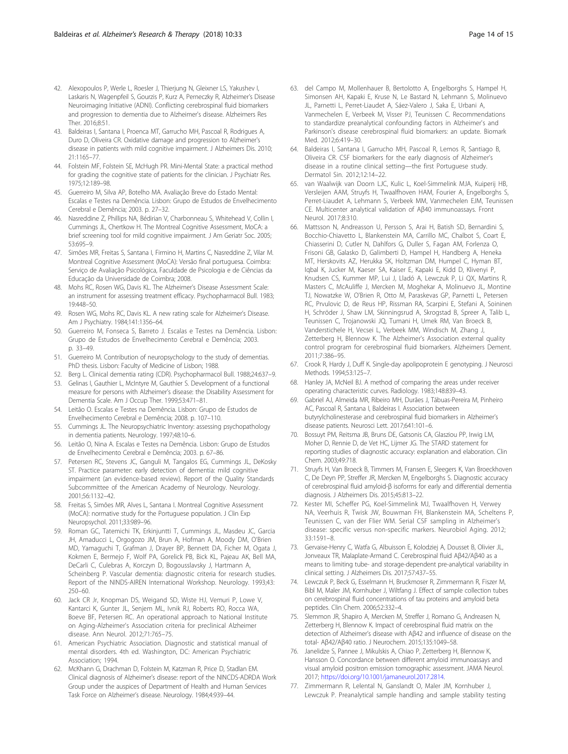- <span id="page-13-0"></span>42. Alexopoulos P, Werle L, Roesler J, Thierjung N, Gleixner LS, Yakushev I, Laskaris N, Wagenpfeil S, Gourzis P, Kurz A, Perneczky R, Alzheimer's Disease Neuroimaging Initiative (ADNI). Conflicting cerebrospinal fluid biomarkers and progression to dementia due to Alzheimer's disease. Alzheimers Res Ther. 2016;8:51.
- 43. Baldeiras I, Santana I, Proenca MT, Garrucho MH, Pascoal R, Rodrigues A, Duro D, Oliveira CR. Oxidative damage and progression to Alzheimer's disease in patients with mild cognitive impairment. J Alzheimers Dis. 2010; 21:1165–77.
- 44. Folstein MF, Folstein SE, McHugh PR. Mini-Mental State: a practical method for grading the cognitive state of patients for the clinician. J Psychiatr Res. 1975;12:189–98.
- 45. Guerreiro M, Silva AP, Botelho MA. Avaliação Breve do Estado Mental: Escalas e Testes na Demência. Lisbon: Grupo de Estudos de Envelhecimento Cerebral e Demência; 2003. p. 27–32.
- 46. Nasreddine Z, Phillips NA, Bédirian V, Charbonneau S, Whitehead V, Collin I, Cummings JL, Chertkow H. The Montreal Cognitive Assessment, MoCA: a brief screening tool for mild cognitive impairment. J Am Geriatr Soc. 2005; 53:695–9.
- 47. Simões MR, Freitas S, Santana I, Firmino H, Martins C, Nasreddine Z, Vilar M. Montreal Cognitive Assessment (MoCA): Versão final portuguesa. Coimbra: Serviço de Avaliação Psicológica, Faculdade de Psicologia e de Ciências da Educação da Universidade de Coimbra; 2008.
- 48. Mohs RC, Rosen WG, Davis KL. The Alzheimer's Disease Assessment Scale: an instrument for assessing treatment efficacy. Psychopharmacol Bull. 1983; 19:448–50.
- 49. Rosen WG, Mohs RC, Davis KL. A new rating scale for Alzheimer's Disease. Am J Psychiatry. 1984;141:1356–64.
- 50. Guerreiro M, Fonseca S, Barreto J. Escalas e Testes na Demência. Lisbon: Grupo de Estudos de Envelhecimento Cerebral e Demência; 2003. p. 33–49.
- 51. Guerreiro M. Contribution of neuropsychology to the study of dementias. PhD thesis. Lisbon: Faculty of Medicine of Lisbon; 1988.
- 52. Berg L. Clinical dementia rating (CDR). Psychopharmacol Bull. 1988;24:637–9.
- 53. Gelinas I, Gauthier L, McIntyre M, Gauthier S. Development of a functional measure for persons with Alzheimer's disease: the Disability Assessment for Dementia Scale. Am J Occup Ther. 1999;53:471–81.
- 54. Leitão O. Escalas e Testes na Demência. Lisbon: Grupo de Estudos de Envelhecimento Cerebral e Demência; 2008. p. 107–110.
- 55. Cummings JL. The Neuropsychiatric Inventory: assessing psychopathology in dementia patients. Neurology. 1997;48:10–6.
- 56. Leitão O, Nina A. Escalas e Testes na Demência. Lisbon: Grupo de Estudos de Envelhecimento Cerebral e Demência; 2003. p. 67–86.
- 57. Petersen RC, Stevens JC, Ganguli M, Tangalos EG, Cummings JL, DeKosky ST. Practice parameter: early detection of dementia: mild cognitive impairment (an evidence-based review). Report of the Quality Standards Subcommittee of the American Academy of Neurology. Neurology. 2001;56:1132–42.
- 58. Freitas S, Simões MR, Alves L, Santana I. Montreal Cognitive Assessment (MoCA): normative study for the Portuguese population. J Clin Exp Neuropsychol. 2011;33:989–96.
- 59. Roman GC, Tatemichi TK, Erkinjuntti T, Cummings JL, Masdeu JC, Garcia JH, Amaducci L, Orgogozo JM, Brun A, Hofman A, Moody DM, O'Brien MD, Yamaguchi T, Grafman J, Drayer BP, Bennett DA, Ficher M, Ogata J, Kokmen E, Bermejo F, Wolf PA, Gorelick PB, Bick KL, Pajeau AK, Bell MA, DeCarli C, Culebras A, Korczyn D, Bogousslavsky J, Hartmann A, Scheinberg P. Vascular dementia: diagnostic criteria for research studies. Report of the NINDS-AIREN International Workshop. Neurology. 1993;43: 250–60.
- 60. Jack CR Jr, Knopman DS, Weigand SD, Wiste HJ, Vemuri P, Lowe V, Kantarci K, Gunter JL, Senjem ML, Ivnik RJ, Roberts RO, Rocca WA, Boeve BF, Petersen RC. An operational approach to National Institute on Aging-Alzheimer's Association criteria for preclinical Alzheimer disease. Ann Neurol. 2012;71:765–75.
- 61. American Psychiatric Association. Diagnostic and statistical manual of mental disorders. 4th ed. Washington, DC: American Psychiatric Association; 1994.
- 62. McKhann G, Drachman D, Folstein M, Katzman R, Price D, Stadlan EM. Clinical diagnosis of Alzheimer's disease: report of the NINCDS-ADRDA Work Group under the auspices of Department of Health and Human Services Task Force on Alzheimer's disease. Neurology. 1984;4:939–44.
- 63. del Campo M, Mollenhauer B, Bertolotto A, Engelborghs S, Hampel H, Simonsen AH, Kapaki E, Kruse N, Le Bastard N, Lehmann S, Molinuevo JL, Parnetti L, Perret-Liaudet A, Sáez-Valero J, Saka E, Urbani A, Vanmechelen E, Verbeek M, Visser PJ, Teunissen C. Recommendations to standardize preanalytical confounding factors in Alzheimer's and Parkinson's disease cerebrospinal fluid biomarkers: an update. Biomark Med. 2012;6:419–30.
- 64. Baldeiras I, Santana I, Garrucho MH, Pascoal R, Lemos R, Santiago B, Oliveira CR. CSF biomarkers for the early diagnosis of Alzheimer's disease in a routine clinical setting—the first Portuguese study. Dermatol Sin. 2012;12:14–22.
- 65. van Waalwijk van Doorn LJC, Kulic L, Koel-Simmelink MJA, Kuiperij HB, Versleijen AAM, Struyfs H, Twaalfhoven HAM, Fourier A, Engelborghs S, Perret-Liaudet A, Lehmann S, Verbeek MM, Vanmechelen EJM, Teunissen CE. Multicenter analytical validation of Aβ40 immunoassays. Front Neurol. 2017;8:310.
- 66. Mattsson N, Andreasson U, Persson S, Arai H, Batish SD, Bernardini S, Bocchio-Chiavetto L, Blankenstein MA, Carrillo MC, Chalbot S, Coart E, Chiasserini D, Cutler N, Dahlfors G, Duller S, Fagan AM, Forlenza O, Frisoni GB, Galasko D, Galimberti D, Hampel H, Handberg A, Heneka MT, Herskovits AZ, Herukka SK, Holtzman DM, Humpel C, Hyman BT, Iqbal K, Jucker M, Kaeser SA, Kaiser E, Kapaki E, Kidd D, Klivenyi P, Knudsen CS, Kummer MP, Lui J, Lladó A, Lewczuk P, Li QX, Martins R, Masters C, McAuliffe J, Mercken M, Moghekar A, Molinuevo JL, Montine TJ, Nowatzke W, O'Brien R, Otto M, Paraskevas GP, Parnetti L, Petersen RC, Prvulovic D, de Reus HP, Rissman RA, Scarpini E, Stefani A, Soininen H, Schröder J, Shaw LM, Skinningsrud A, Skrogstad B, Spreer A, Talib L, Teunissen C, Trojanowski JQ, Tumani H, Umek RM, Van Broeck B, Vanderstichele H, Vecsei L, Verbeek MM, Windisch M, Zhang J, Zetterberg H, Blennow K. The Alzheimer's Association external quality control program for cerebrospinal fluid biomarkers. Alzheimers Dement. 2011;7:386–95.
- 67. Crook R, Hardy J, Duff K. Single-day apolipoprotein E genotyping. J Neurosci Methods. 1994;53:125–7.
- 68. Hanley JA, McNeil BJ. A method of comparing the areas under receiver operating characteristic curves. Radiology. 1983;148:839–43.
- 69. Gabriel AJ, Almeida MR, Ribeiro MH, Durães J, Tábuas-Pereira M, Pinheiro AC, Pascoal R, Santana I, Baldeiras I. Association between butyrylcholinesterase and cerebrospinal fluid biomarkers in Alzheimer's disease patients. Neurosci Lett. 2017;641:101–6.
- 70. Bossuyt PM, Reitsma JB, Bruns DE, Gatsonis CA, Glasziou PP, Irwig LM, Moher D, Rennie D, de Vet HC, Lijmer JG. The STARD statement for reporting studies of diagnostic accuracy: explanation and elaboration. Clin Chem. 2003;49:718.
- 71. Struyfs H, Van Broeck B, Timmers M, Fransen E, Sleegers K, Van Broeckhoven C, De Deyn PP, Streffer JR, Mercken M, Engelborghs S. Diagnostic accuracy of cerebrospinal fluid amyloid-β isoforms for early and differential dementia diagnosis. J Alzheimers Dis. 2015;45:813–22.
- 72. Kester MI, Scheffer PG, Koel-Simmelink MJ, Twaalfhoven H, Verwey NA, Veerhuis R, Twisk JW, Bouwman FH, Blankenstein MA, Scheltens P, Teunissen C, van der Flier WM. Serial CSF sampling in Alzheimer's disease: specific versus non-specific markers. Neurobiol Aging. 2012; 33:1591–8.
- 73. Gervaise-Henry C, Watfa G, Albuisson E, Kolodziej A, Dousset B, Olivier JL, Jonveaux TR, Malaplate-Armand C. Cerebrospinal fluid Aβ42/Aβ40 as a means to limiting tube- and storage-dependent pre-analytical variability in clinical setting. J Alzheimers Dis. 2017;57:437–55.
- 74. Lewczuk P, Beck G, Esselmann H, Bruckmoser R, Zimmermann R, Fiszer M, Bibl M, Maler JM, Kornhuber J, Wiltfang J. Effect of sample collection tubes on cerebrospinal fluid concentrations of tau proteins and amyloid beta peptides. Clin Chem. 2006;52:332–4.
- 75. Slemmon JR, Shapiro A, Mercken M, Streffer J, Romano G, Andreasen N, Zetterberg H, Blennow K. Impact of cerebrospinal fluid matrix on the detection of Alzheimer's disease with Aβ42 and influence of disease on the total- Aβ42/Aβ40 ratio. J Neurochem. 2015;135:1049–58.
- 76. Janelidze S, Pannee J, Mikulskis A, Chiao P, Zetterberg H, Blennow K, Hansson O. Concordance between different amyloid immunoassays and visual amyloid positron emission tomographic assessment. JAMA Neurol. 2017; [https://doi.org/10.1001/jamaneurol.2017.2814.](https://doi.org/10.1001/jamaneurol.2017.2814)
- 77. Zimmermann R, Lelental N, Ganslandt O, Maler JM, Kornhuber J, Lewczuk P. Preanalytical sample handling and sample stability testing